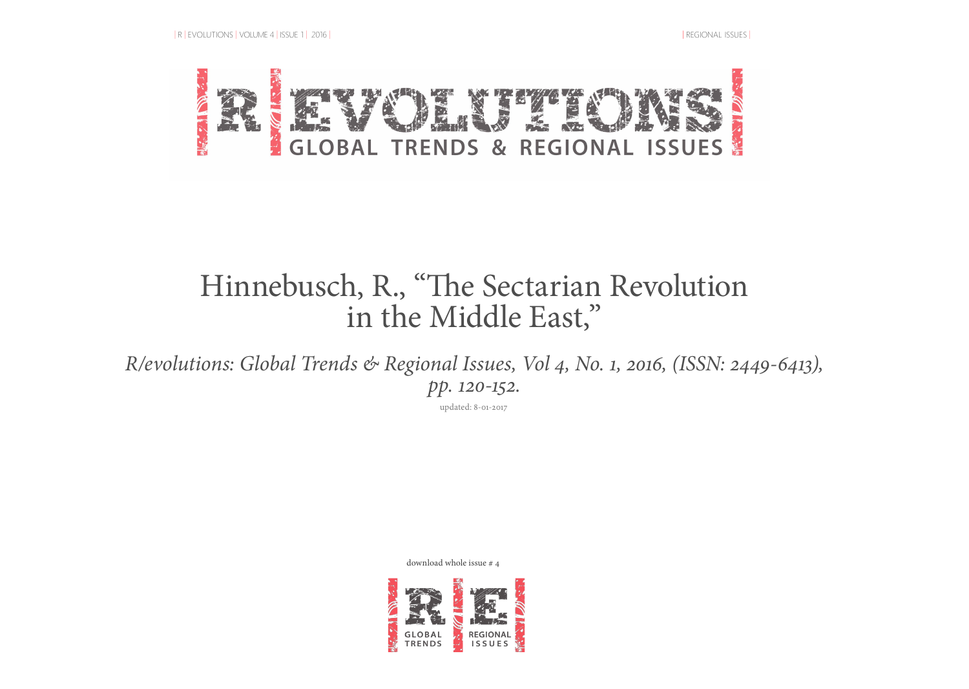

## Hinnebusch, R., "The Sectarian Revolution in the Middle East,"

*R/evolutions: Global Trends & Regional Issues, Vol 4, No. 1, 2016, (ISSN: 2449-6413), pp. 120-152.*

updated: 8-01-2017

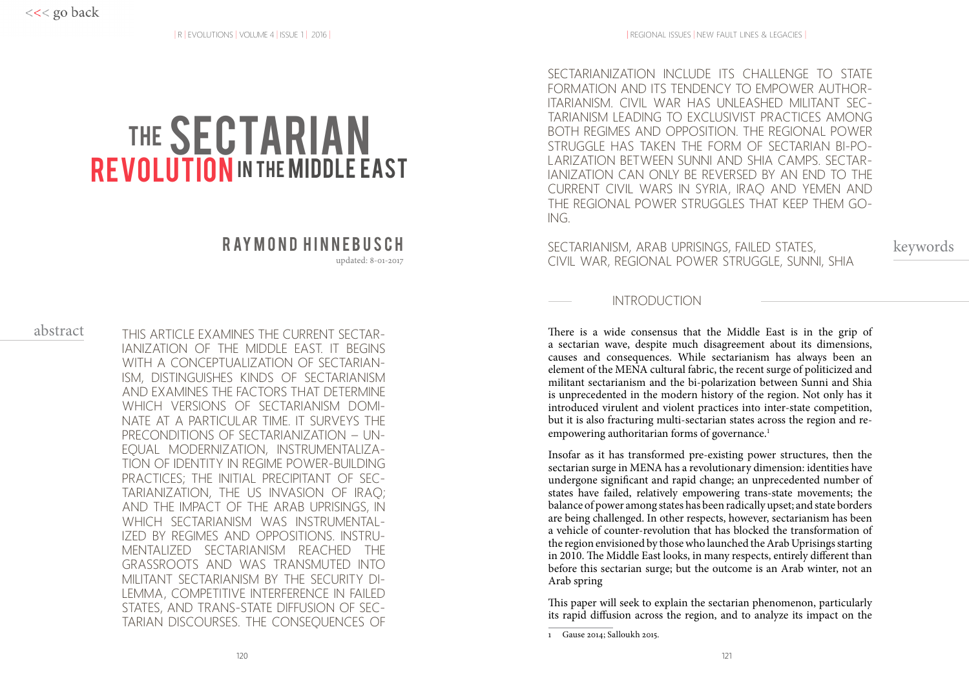# THE **SECTARIAN REVOLUTION** IN THE MIDDLE EAST

updated: 8-01-2017

## abstract

THIS ARTICLE EXAMINES THE CURRENT SECTAR-IANIZATION OF THE MIDDLE EAST. IT BEGINS WITH A CONCEPTUALIZATION OF SECTARIAN-ISM, DISTINGUISHES KINDS OF SECTARIANISM AND EXAMINES THE FACTORS THAT DETERMINE WHICH VERSIONS OF SECTARIANISM DOMI-NATE AT A PARTICULAR TIME. IT SURVEYS THE PRECONDITIONS OF SECTARIANIZATION – UN-EQUAL MODERNIZATION, INSTRUMENTALIZA-TION OF IDENTITY IN REGIME POWER-BUILDING PRACTICES; THE INITIAL PRECIPITANT OF SEC-TARIANIZATION, THE US INVASION OF IRAQ; AND THE IMPACT OF THE ARAB UPRISINGS, IN WHICH SECTARIANISM WAS INSTRUMENTAL-IZED BY REGIMES AND OPPOSITIONS. INSTRU-MENTALIZED SECTARIANISM REACHED THE GRASSROOTS AND WAS TRANSMUTED INTO MILITANT SECTARIANISM BY THE SECURITY DI-LEMMA, COMPETITIVE INTERFERENCE IN FAILED STATES, AND TRANS-STATE DIFFUSION OF SEC-TARIAN DISCOURSES. THE CONSEQUENCES OF

SECTARIANIZATION INCLUDE ITS CHALLENGE TO STATE FORMATION AND ITS TENDENCY TO EMPOWER AUTHOR-ITARIANISM. CIVIL WAR HAS UNLEASHED MILITANT SEC-TARIANISM LEADING TO EXCLUSIVIST PRACTICES AMONG BOTH REGIMES AND OPPOSITION. THE REGIONAL POWER STRUGGLE HAS TAKEN THE FORM OF SECTARIAN BI-PO-LARIZATION BETWEEN SUNNI AND SHIA CAMPS. SECTAR-IANIZATION CAN ONLY BE REVERSED BY AN END TO THE CURRENT CIVIL WARS IN SYRIA, IRAQ AND YEMEN AND THE REGIONAL POWER STRUGGLES THAT KEEP THEM GO-ING.

 $\,$  R AY M O N D  $\,$  H I N N E B U S C H  $\,$   $\,$  sectarianism, arab uprisings, failed states,  $\,$  keywords CIVIL WAR, REGIONAL POWER STRUGGLE, SUNNI, SHIA

## INTRODUCTION

There is a wide consensus that the Middle East is in the grip of a sectarian wave, despite much disagreement about its dimensions, causes and consequences. While sectarianism has always been an element of the MENA cultural fabric, the recent surge of politicized and militant sectarianism and the bi-polarization between Sunni and Shia is unprecedented in the modern history of the region. Not only has it introduced virulent and violent practices into inter-state competition, but it is also fracturing multi-sectarian states across the region and reempowering authoritarian forms of governance.<sup>1</sup>

Insofar as it has transformed pre-existing power structures, then the sectarian surge in MENA has a revolutionary dimension: identities have undergone significant and rapid change; an unprecedented number of states have failed, relatively empowering trans-state movements; the balance of power among states has been radically upset; and state borders are being challenged. In other respects, however, sectarianism has been a vehicle of counter-revolution that has blocked the transformation of the region envisioned by those who launched the Arab Uprisings starting in 2010. The Middle East looks, in many respects, entirely different than before this sectarian surge; but the outcome is an Arab winter, not an Arab spring

This paper will seek to explain the sectarian phenomenon, particularly its rapid diffusion across the region, and to analyze its impact on the

<sup>1</sup> Gause 2014; Salloukh 2015.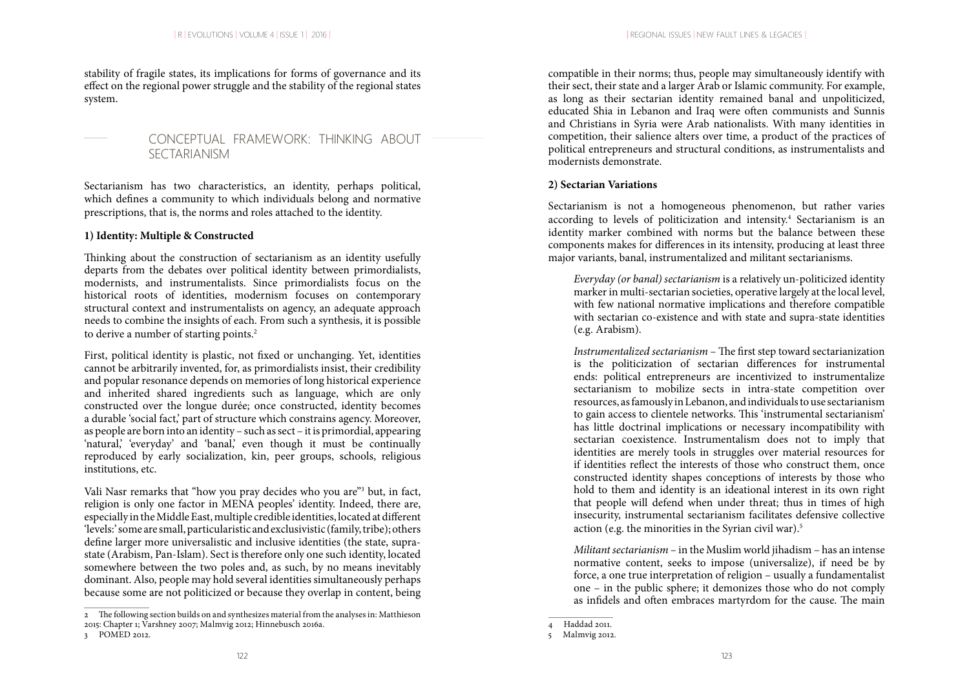stability of fragile states, its implications for forms of governance and its effect on the regional power struggle and the stability of the regional states system.

## CONCEPTUAL FRAMEWORK: THINKING ABOUT **SECTARIANISM**

Sectarianism has two characteristics, an identity, perhaps political, which defines a community to which individuals belong and normative prescriptions, that is, the norms and roles attached to the identity.

#### **1) Identity: Multiple & Constructed**

Thinking about the construction of sectarianism as an identity usefully departs from the debates over political identity between primordialists, modernists, and instrumentalists. Since primordialists focus on the historical roots of identities, modernism focuses on contemporary structural context and instrumentalists on agency, an adequate approach needs to combine the insights of each. From such a synthesis, it is possible to derive a number of starting points.<sup>2</sup>

First, political identity is plastic, not fixed or unchanging. Yet, identities cannot be arbitrarily invented, for, as primordialists insist, their credibility and popular resonance depends on memories of long historical experience and inherited shared ingredients such as language, which are only constructed over the longue durée; once constructed, identity becomes a durable 'social fact,' part of structure which constrains agency. Moreover, as people are born into an identity – such as sect – it is primordial, appearing 'natural, 'everyday' and 'banal,' even though it must be continually reproduced by early socialization, kin, peer groups, schools, religious institutions, etc.

Vali Nasr remarks that "how you pray decides who you are"<sup>3</sup> but, in fact, religion is only one factor in MENA peoples' identity. Indeed, there are, especially in the Middle East, multiple credible identities, located at different 'levels:' some are small, particularistic and exclusivistic (family, tribe); others define larger more universalistic and inclusive identities (the state, suprastate (Arabism, Pan-Islam). Sect is therefore only one such identity, located somewhere between the two poles and, as such, by no means inevitably dominant. Also, people may hold several identities simultaneously perhaps because some are not politicized or because they overlap in content, being

compatible in their norms; thus, people may simultaneously identify with their sect, their state and a larger Arab or Islamic community. For example, as long as their sectarian identity remained banal and unpoliticized, educated Shia in Lebanon and Iraq were often communists and Sunnis and Christians in Syria were Arab nationalists. With many identities in competition, their salience alters over time, a product of the practices of political entrepreneurs and structural conditions, as instrumentalists and modernists demonstrate.

#### **2) Sectarian Variations**

Sectarianism is not a homogeneous phenomenon, but rather varies according to levels of politicization and intensity.<sup>4</sup> Sectarianism is an identity marker combined with norms but the balance between these components makes for differences in its intensity, producing at least three major variants, banal, instrumentalized and militant sectarianisms.

*Everyday (or banal) sectarianism* is a relatively un-politicized identity marker in multi-sectarian societies, operative largely at the local level, with few national normative implications and therefore compatible with sectarian co-existence and with state and supra-state identities (e.g. Arabism).

*Instrumentalized sectarianism* – The first step toward sectarianization is the politicization of sectarian differences for instrumental ends: political entrepreneurs are incentivized to instrumentalize sectarianism to mobilize sects in intra-state competition over resources, as famously in Lebanon, and individuals to use sectarianism to gain access to clientele networks. This 'instrumental sectarianism' has little doctrinal implications or necessary incompatibility with sectarian coexistence. Instrumentalism does not to imply that identities are merely tools in struggles over material resources for if identities reflect the interests of those who construct them, once constructed identity shapes conceptions of interests by those who hold to them and identity is an ideational interest in its own right that people will defend when under threat; thus in times of high insecurity, instrumental sectarianism facilitates defensive collective action (e.g. the minorities in the Syrian civil war).<sup>5</sup>

*Militant sectarianism* – in the Muslim world jihadism – has an intense normative content, seeks to impose (universalize), if need be by force, a one true interpretation of religion – usually a fundamentalist one – in the public sphere; it demonizes those who do not comply as infidels and often embraces martyrdom for the cause. The main

<sup>2</sup> The following section builds on and synthesizes material from the analyses in: Matthieson 2015: Chapter 1; Varshney 2007; Malmvig 2012; Hinnebusch 2016a.

<sup>3</sup> POMED 2012.

<sup>4</sup> Haddad 2011.

<sup>5</sup> Malmvig 2012.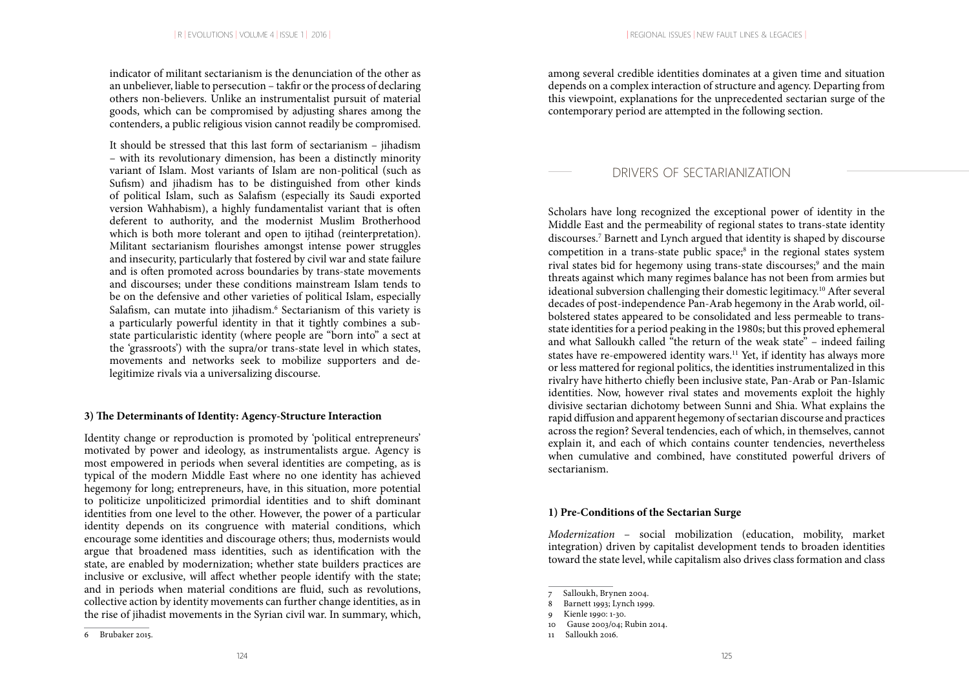indicator of militant sectarianism is the denunciation of the other as an unbeliever, liable to persecution – takfir or the process of declaring others non-believers. Unlike an instrumentalist pursuit of material goods, which can be compromised by adjusting shares among the contenders, a public religious vision cannot readily be compromised.

It should be stressed that this last form of sectarianism – jihadism – with its revolutionary dimension, has been a distinctly minority variant of Islam. Most variants of Islam are non-political (such as Sufism) and jihadism has to be distinguished from other kinds of political Islam, such as Salafism (especially its Saudi exported version Wahhabism), a highly fundamentalist variant that is often deferent to authority, and the modernist Muslim Brotherhood which is both more tolerant and open to ijtihad (reinterpretation). Militant sectarianism flourishes amongst intense power struggles and insecurity, particularly that fostered by civil war and state failure and is often promoted across boundaries by trans-state movements and discourses; under these conditions mainstream Islam tends to be on the defensive and other varieties of political Islam, especially Salafism, can mutate into jihadism.<sup>6</sup> Sectarianism of this variety is a particularly powerful identity in that it tightly combines a substate particularistic identity (where people are "born into" a sect at the 'grassroots') with the supra/or trans-state level in which states, movements and networks seek to mobilize supporters and delegitimize rivals via a universalizing discourse.

#### **3) The Determinants of Identity: Agency-Structure Interaction**

Identity change or reproduction is promoted by 'political entrepreneurs' motivated by power and ideology, as instrumentalists argue. Agency is most empowered in periods when several identities are competing, as is typical of the modern Middle East where no one identity has achieved hegemony for long; entrepreneurs, have, in this situation, more potential to politicize unpoliticized primordial identities and to shift dominant identities from one level to the other. However, the power of a particular identity depends on its congruence with material conditions, which encourage some identities and discourage others; thus, modernists would argue that broadened mass identities, such as identification with the state, are enabled by modernization; whether state builders practices are inclusive or exclusive, will affect whether people identify with the state; and in periods when material conditions are fluid, such as revolutions, collective action by identity movements can further change identities, as in the rise of jihadist movements in the Syrian civil war. In summary, which, among several credible identities dominates at a given time and situation depends on a complex interaction of structure and agency. Departing from this viewpoint, explanations for the unprecedented sectarian surge of the contemporary period are attempted in the following section.

## DRIVERS OF SECTARIANIZATION

Scholars have long recognized the exceptional power of identity in the Middle East and the permeability of regional states to trans-state identity discourses.7 Barnett and Lynch argued that identity is shaped by discourse competition in a trans-state public space;<sup>8</sup> in the regional states system rival states bid for hegemony using trans-state discourses;<sup>9</sup> and the main threats against which many regimes balance has not been from armies but ideational subversion challenging their domestic legitimacy.10 After several decades of post-independence Pan-Arab hegemony in the Arab world, oilbolstered states appeared to be consolidated and less permeable to transstate identities for a period peaking in the 1980s; but this proved ephemeral and what Salloukh called "the return of the weak state" – indeed failing states have re-empowered identity wars.<sup>11</sup> Yet, if identity has always more or less mattered for regional politics, the identities instrumentalized in this rivalry have hitherto chiefly been inclusive state, Pan-Arab or Pan-Islamic identities. Now, however rival states and movements exploit the highly divisive sectarian dichotomy between Sunni and Shia. What explains the rapid diffusion and apparent hegemony of sectarian discourse and practices across the region? Several tendencies, each of which, in themselves, cannot explain it, and each of which contains counter tendencies, nevertheless when cumulative and combined, have constituted powerful drivers of sectarianism.

#### **1) Pre-Conditions of the Sectarian Surge**

*Modernization* – social mobilization (education, mobility, market integration) driven by capitalist development tends to broaden identities toward the state level, while capitalism also drives class formation and class

<sup>6</sup> Brubaker 2015.

Salloukh, Brynen 2004.

<sup>8</sup> Barnett 1993; Lynch 1999.

Kienle 1990: 1-30.

<sup>10</sup> Gause 2003/04; Rubin 2014.

<sup>11</sup> Salloukh 2016.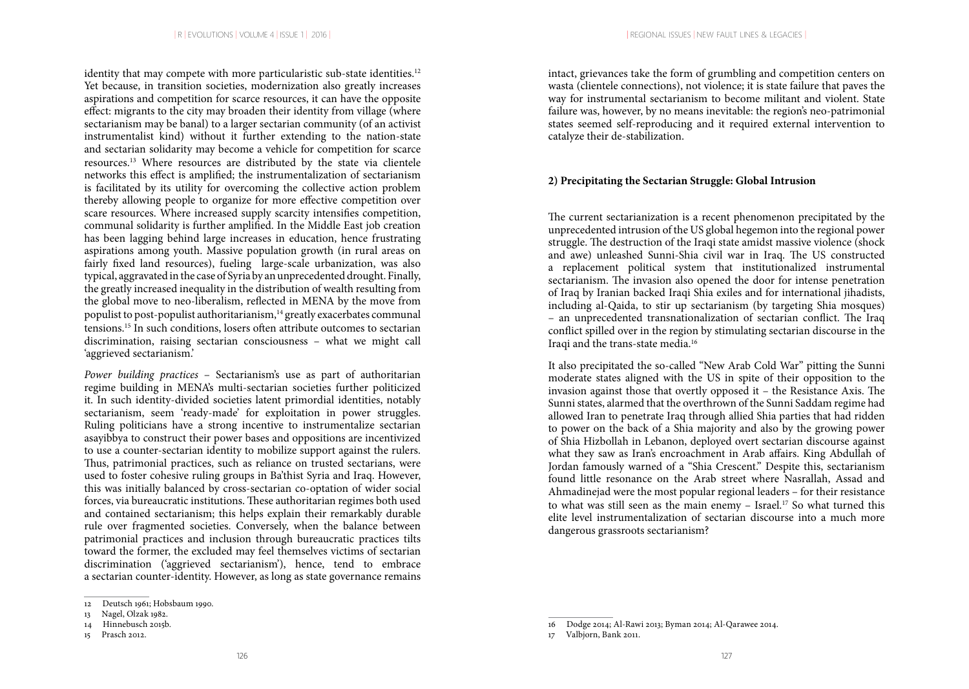identity that may compete with more particularistic sub-state identities.<sup>12</sup> Yet because, in transition societies, modernization also greatly increases aspirations and competition for scarce resources, it can have the opposite effect: migrants to the city may broaden their identity from village (where sectarianism may be banal) to a larger sectarian community (of an activist instrumentalist kind) without it further extending to the nation-state and sectarian solidarity may become a vehicle for competition for scarce resources.13 Where resources are distributed by the state via clientele networks this effect is amplified; the instrumentalization of sectarianism is facilitated by its utility for overcoming the collective action problem thereby allowing people to organize for more effective competition over scare resources. Where increased supply scarcity intensifies competition, communal solidarity is further amplified. In the Middle East job creation has been lagging behind large increases in education, hence frustrating aspirations among youth. Massive population growth (in rural areas on fairly fixed land resources), fueling large-scale urbanization, was also typical, aggravated in the case of Syria by an unprecedented drought. Finally, the greatly increased inequality in the distribution of wealth resulting from the global move to neo-liberalism, reflected in MENA by the move from populist to post-populist authoritarianism, $14$  greatly exacerbates communal tensions.15 In such conditions, losers often attribute outcomes to sectarian discrimination, raising sectarian consciousness – what we might call 'aggrieved sectarianism.'

*Power building practices* – Sectarianism's use as part of authoritarian regime building in MENA's multi-sectarian societies further politicized it. In such identity-divided societies latent primordial identities, notably sectarianism, seem 'ready-made' for exploitation in power struggles. Ruling politicians have a strong incentive to instrumentalize sectarian asayibbya to construct their power bases and oppositions are incentivized to use a counter-sectarian identity to mobilize support against the rulers. Thus, patrimonial practices, such as reliance on trusted sectarians, were used to foster cohesive ruling groups in Ba'thist Syria and Iraq. However, this was initially balanced by cross-sectarian co-optation of wider social forces, via bureaucratic institutions. These authoritarian regimes both used and contained sectarianism; this helps explain their remarkably durable rule over fragmented societies. Conversely, when the balance between patrimonial practices and inclusion through bureaucratic practices tilts toward the former, the excluded may feel themselves victims of sectarian discrimination ('aggrieved sectarianism'), hence, tend to embrace a sectarian counter-identity. However, as long as state governance remains

intact, grievances take the form of grumbling and competition centers on wasta (clientele connections), not violence; it is state failure that paves the way for instrumental sectarianism to become militant and violent. State failure was, however, by no means inevitable: the region's neo-patrimonial states seemed self-reproducing and it required external intervention to catalyze their de-stabilization.

### **2) Precipitating the Sectarian Struggle: Global Intrusion**

The current sectarianization is a recent phenomenon precipitated by the unprecedented intrusion of the US global hegemon into the regional power struggle. The destruction of the Iraqi state amidst massive violence (shock and awe) unleashed Sunni-Shia civil war in Iraq. The US constructed a replacement political system that institutionalized instrumental sectarianism. The invasion also opened the door for intense penetration of Iraq by Iranian backed Iraqi Shia exiles and for international jihadists, including al-Qaida, to stir up sectarianism (by targeting Shia mosques) – an unprecedented transnationalization of sectarian conflict. The Iraq conflict spilled over in the region by stimulating sectarian discourse in the Iraqi and the trans-state media.16

It also precipitated the so-called "New Arab Cold War" pitting the Sunni moderate states aligned with the US in spite of their opposition to the invasion against those that overtly opposed it – the Resistance Axis. The Sunni states, alarmed that the overthrown of the Sunni Saddam regime had allowed Iran to penetrate Iraq through allied Shia parties that had ridden to power on the back of a Shia majority and also by the growing power of Shia Hizbollah in Lebanon, deployed overt sectarian discourse against what they saw as Iran's encroachment in Arab affairs. King Abdullah of Jordan famously warned of a "Shia Crescent." Despite this, sectarianism found little resonance on the Arab street where Nasrallah, Assad and Ahmadinejad were the most popular regional leaders – for their resistance to what was still seen as the main enemy - Israel.<sup>17</sup> So what turned this elite level instrumentalization of sectarian discourse into a much more dangerous grassroots sectarianism?

<sup>12</sup> Deutsch 1961; Hobsbaum 1990.

<sup>13</sup> Nagel, Olzak 1982.

<sup>14</sup> Hinnebusch 2015b.

<sup>15</sup> Prasch 2012.

<sup>16</sup> Dodge 2014; Al-Rawi 2013; Byman 2014; Al-Qarawee 2014.

<sup>17</sup> Valbjorn, Bank 2011.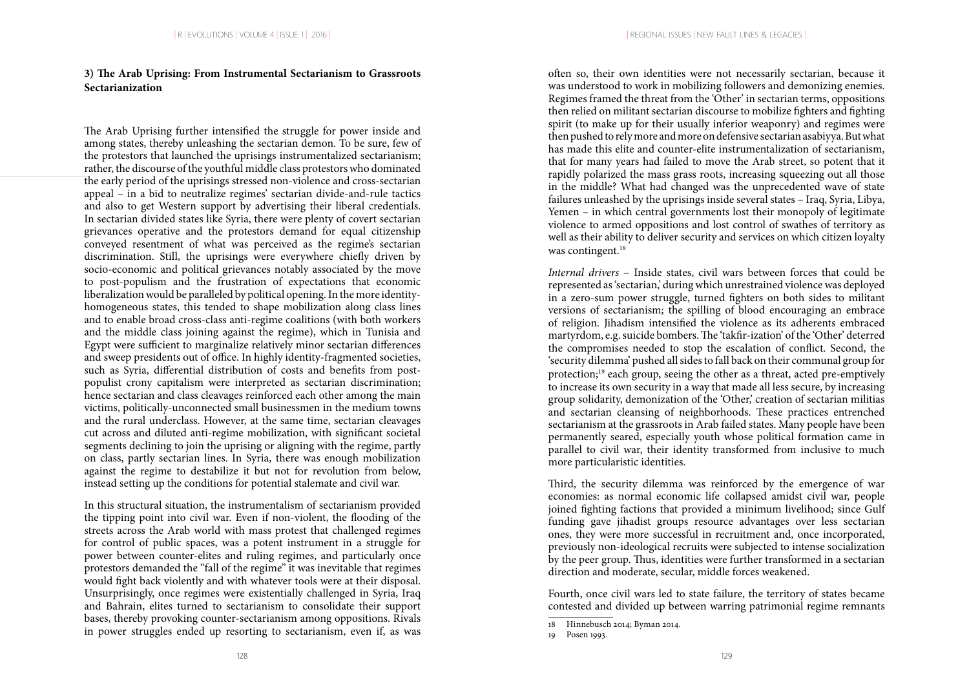## **3) The Arab Uprising: From Instrumental Sectarianism to Grassroots Sectarianization**

The Arab Uprising further intensified the struggle for power inside and among states, thereby unleashing the sectarian demon. To be sure, few of the protestors that launched the uprisings instrumentalized sectarianism; rather, the discourse of the youthful middle class protestors who dominated the early period of the uprisings stressed non-violence and cross-sectarian appeal – in a bid to neutralize regimes' sectarian divide-and-rule tactics and also to get Western support by advertising their liberal credentials. In sectarian divided states like Syria, there were plenty of covert sectarian grievances operative and the protestors demand for equal citizenship conveyed resentment of what was perceived as the regime's sectarian discrimination. Still, the uprisings were everywhere chiefly driven by socio-economic and political grievances notably associated by the move to post-populism and the frustration of expectations that economic liberalization would be paralleled by political opening. In the more identityhomogeneous states, this tended to shape mobilization along class lines and to enable broad cross-class anti-regime coalitions (with both workers and the middle class joining against the regime), which in Tunisia and Egypt were sufficient to marginalize relatively minor sectarian differences and sweep presidents out of office. In highly identity-fragmented societies, such as Syria, differential distribution of costs and benefits from postpopulist crony capitalism were interpreted as sectarian discrimination; hence sectarian and class cleavages reinforced each other among the main victims, politically-unconnected small businessmen in the medium towns and the rural underclass. However, at the same time, sectarian cleavages cut across and diluted anti-regime mobilization, with significant societal segments declining to join the uprising or aligning with the regime, partly on class, partly sectarian lines. In Syria, there was enough mobilization against the regime to destabilize it but not for revolution from below, instead setting up the conditions for potential stalemate and civil war.

In this structural situation, the instrumentalism of sectarianism provided the tipping point into civil war. Even if non-violent, the flooding of the streets across the Arab world with mass protest that challenged regimes for control of public spaces, was a potent instrument in a struggle for power between counter-elites and ruling regimes, and particularly once protestors demanded the "fall of the regime" it was inevitable that regimes would fight back violently and with whatever tools were at their disposal. Unsurprisingly, once regimes were existentially challenged in Syria, Iraq and Bahrain, elites turned to sectarianism to consolidate their support bases, thereby provoking counter-sectarianism among oppositions. Rivals in power struggles ended up resorting to sectarianism, even if, as was

often so, their own identities were not necessarily sectarian, because it was understood to work in mobilizing followers and demonizing enemies. Regimes framed the threat from the 'Other' in sectarian terms, oppositions then relied on militant sectarian discourse to mobilize fighters and fighting spirit (to make up for their usually inferior weaponry) and regimes were then pushed to rely more and more on defensive sectarian asabiyya. But what has made this elite and counter-elite instrumentalization of sectarianism, that for many years had failed to move the Arab street, so potent that it rapidly polarized the mass grass roots, increasing squeezing out all those in the middle? What had changed was the unprecedented wave of state failures unleashed by the uprisings inside several states – Iraq, Syria, Libya, Yemen – in which central governments lost their monopoly of legitimate violence to armed oppositions and lost control of swathes of territory as well as their ability to deliver security and services on which citizen loyalty was contingent.<sup>18</sup>

*Internal drivers* – Inside states, civil wars between forces that could be represented as 'sectarian,' during which unrestrained violence was deployed in a zero-sum power struggle, turned fighters on both sides to militant versions of sectarianism; the spilling of blood encouraging an embrace of religion. Jihadism intensified the violence as its adherents embraced martyrdom, e.g. suicide bombers. The 'takfir-ization' of the 'Other' deterred the compromises needed to stop the escalation of conflict. Second, the 'security dilemma' pushed all sides to fall back on their communal group for protection;<sup>19</sup> each group, seeing the other as a threat, acted pre-emptively to increase its own security in a way that made all less secure, by increasing group solidarity, demonization of the 'Other,' creation of sectarian militias and sectarian cleansing of neighborhoods. These practices entrenched sectarianism at the grassroots in Arab failed states. Many people have been permanently seared, especially youth whose political formation came in parallel to civil war, their identity transformed from inclusive to much more particularistic identities.

Third, the security dilemma was reinforced by the emergence of war economies: as normal economic life collapsed amidst civil war, people joined fighting factions that provided a minimum livelihood; since Gulf funding gave jihadist groups resource advantages over less sectarian ones, they were more successful in recruitment and, once incorporated, previously non-ideological recruits were subjected to intense socialization by the peer group. Thus, identities were further transformed in a sectarian direction and moderate, secular, middle forces weakened.

Fourth, once civil wars led to state failure, the territory of states became contested and divided up between warring patrimonial regime remnants

<sup>18</sup> Hinnebusch 2014; Byman 2014.

<sup>19</sup> Posen 1993.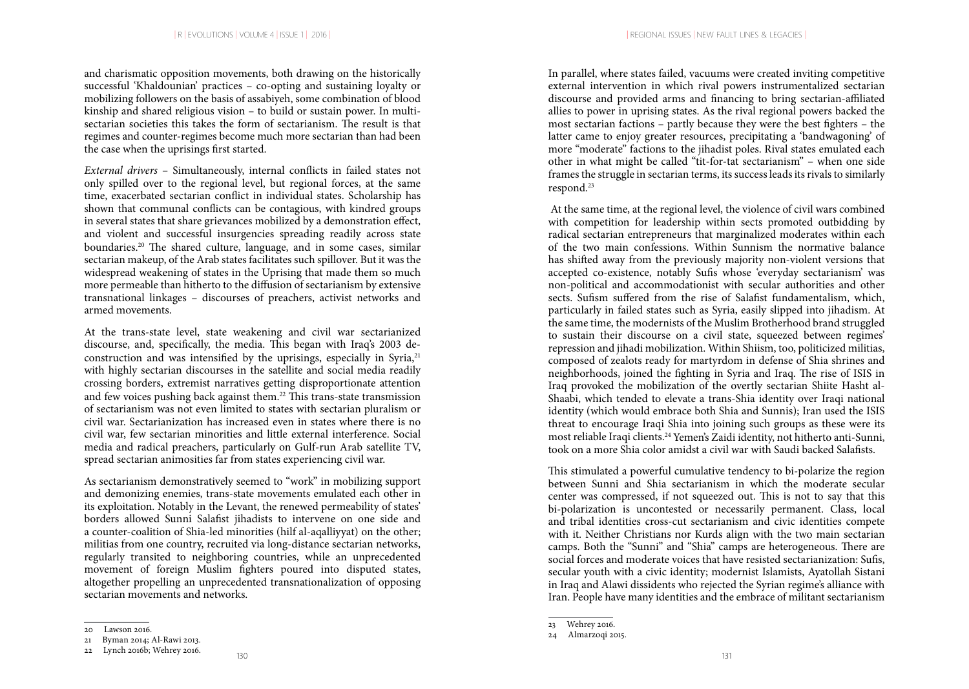and charismatic opposition movements, both drawing on the historically successful 'Khaldounian' practices – co-opting and sustaining loyalty or mobilizing followers on the basis of assabiyeh, some combination of blood kinship and shared religious vision – to build or sustain power. In multisectarian societies this takes the form of sectarianism. The result is that regimes and counter-regimes become much more sectarian than had been the case when the uprisings first started.

*External drivers* – Simultaneously, internal conflicts in failed states not only spilled over to the regional level, but regional forces, at the same time, exacerbated sectarian conflict in individual states. Scholarship has shown that communal conflicts can be contagious, with kindred groups in several states that share grievances mobilized by a demonstration effect, and violent and successful insurgencies spreading readily across state boundaries.20 The shared culture, language, and in some cases, similar sectarian makeup, of the Arab states facilitates such spillover. But it was the widespread weakening of states in the Uprising that made them so much more permeable than hitherto to the diffusion of sectarianism by extensive transnational linkages – discourses of preachers, activist networks and armed movements.

At the trans-state level, state weakening and civil war sectarianized discourse, and, specifically, the media. This began with Iraq's 2003 deconstruction and was intensified by the uprisings, especially in Syria,<sup>21</sup> with highly sectarian discourses in the satellite and social media readily crossing borders, extremist narratives getting disproportionate attention and few voices pushing back against them.22 This trans-state transmission of sectarianism was not even limited to states with sectarian pluralism or civil war. Sectarianization has increased even in states where there is no civil war, few sectarian minorities and little external interference. Social media and radical preachers, particularly on Gulf-run Arab satellite TV, spread sectarian animosities far from states experiencing civil war.

As sectarianism demonstratively seemed to "work" in mobilizing support and demonizing enemies, trans-state movements emulated each other in its exploitation. Notably in the Levant, the renewed permeability of states' borders allowed Sunni Salafist jihadists to intervene on one side and a counter-coalition of Shia-led minorities (hilf al-aqalliyyat) on the other; militias from one country, recruited via long-distance sectarian networks, regularly transited to neighboring countries, while an unprecedented movement of foreign Muslim fighters poured into disputed states, altogether propelling an unprecedented transnationalization of opposing sectarian movements and networks.

In parallel, where states failed, vacuums were created inviting competitive external intervention in which rival powers instrumentalized sectarian discourse and provided arms and financing to bring sectarian-affiliated allies to power in uprising states. As the rival regional powers backed the most sectarian factions – partly because they were the best fighters – the latter came to enjoy greater resources, precipitating a 'bandwagoning' of more "moderate" factions to the jihadist poles. Rival states emulated each other in what might be called "tit-for-tat sectarianism" – when one side frames the struggle in sectarian terms, its success leads its rivals to similarly respond.23

 At the same time, at the regional level, the violence of civil wars combined with competition for leadership within sects promoted outbidding by radical sectarian entrepreneurs that marginalized moderates within each of the two main confessions. Within Sunnism the normative balance has shifted away from the previously majority non-violent versions that accepted co-existence, notably Sufis whose 'everyday sectarianism' was non-political and accommodationist with secular authorities and other sects. Sufism suffered from the rise of Salafist fundamentalism, which, particularly in failed states such as Syria, easily slipped into jihadism. At the same time, the modernists of the Muslim Brotherhood brand struggled to sustain their discourse on a civil state, squeezed between regimes' repression and jihadi mobilization. Within Shiism, too, politicized militias, composed of zealots ready for martyrdom in defense of Shia shrines and neighborhoods, joined the fighting in Syria and Iraq. The rise of ISIS in Iraq provoked the mobilization of the overtly sectarian Shiite Hasht al-Shaabi, which tended to elevate a trans-Shia identity over Iraqi national identity (which would embrace both Shia and Sunnis); Iran used the ISIS threat to encourage Iraqi Shia into joining such groups as these were its most reliable Iraqi clients.24 Yemen's Zaidi identity, not hitherto anti-Sunni, took on a more Shia color amidst a civil war with Saudi backed Salafists.

This stimulated a powerful cumulative tendency to bi-polarize the region between Sunni and Shia sectarianism in which the moderate secular center was compressed, if not squeezed out. This is not to say that this bi-polarization is uncontested or necessarily permanent. Class, local and tribal identities cross-cut sectarianism and civic identities compete with it. Neither Christians nor Kurds align with the two main sectarian camps. Both the "Sunni" and "Shia" camps are heterogeneous. There are social forces and moderate voices that have resisted sectarianization: Sufis, secular youth with a civic identity; modernist Islamists, Ayatollah Sistani in Iraq and Alawi dissidents who rejected the Syrian regime's alliance with Iran. People have many identities and the embrace of militant sectarianism

<sup>20</sup> Lawson 2016.

<sup>21</sup> Byman 2014; Al-Rawi 2013.

<sup>23</sup> Wehrey 2016.

<sup>24</sup> Almarzoqi 2015.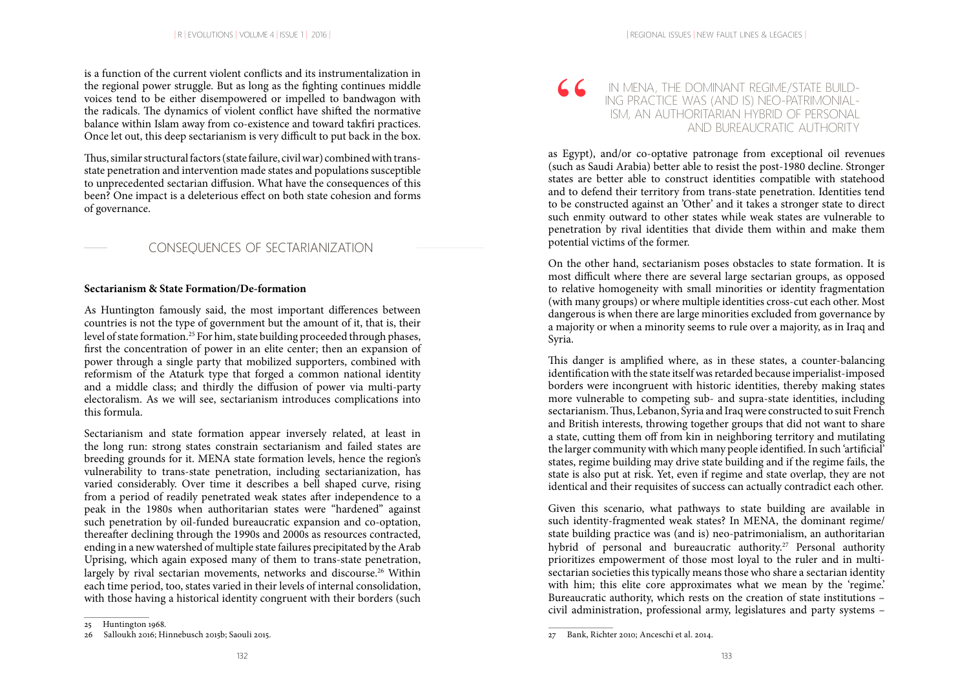is a function of the current violent conflicts and its instrumentalization in the regional power struggle. But as long as the fighting continues middle voices tend to be either disempowered or impelled to bandwagon with the radicals. The dynamics of violent conflict have shifted the normative balance within Islam away from co-existence and toward takfiri practices. Once let out, this deep sectarianism is very difficult to put back in the box.

Thus, similar structural factors (state failure, civil war) combined with transstate penetration and intervention made states and populations susceptible to unprecedented sectarian diffusion. What have the consequences of this been? One impact is a deleterious effect on both state cohesion and forms of governance.

## CONSEQUENCES OF SECTARIANIZATION

### **Sectarianism & State Formation/De-formation**

As Huntington famously said, the most important differences between countries is not the type of government but the amount of it, that is, their level of state formation.25 For him, state building proceeded through phases, first the concentration of power in an elite center; then an expansion of power through a single party that mobilized supporters, combined with reformism of the Ataturk type that forged a common national identity and a middle class; and thirdly the diffusion of power via multi-party electoralism. As we will see, sectarianism introduces complications into this formula.

Sectarianism and state formation appear inversely related, at least in the long run: strong states constrain sectarianism and failed states are breeding grounds for it. MENA state formation levels, hence the region's vulnerability to trans-state penetration, including sectarianization, has varied considerably. Over time it describes a bell shaped curve, rising from a period of readily penetrated weak states after independence to a peak in the 1980s when authoritarian states were "hardened" against such penetration by oil-funded bureaucratic expansion and co-optation, thereafter declining through the 1990s and 2000s as resources contracted, ending in a new watershed of multiple state failures precipitated by the Arab Uprising, which again exposed many of them to trans-state penetration, largely by rival sectarian movements, networks and discourse.<sup>26</sup> Within each time period, too, states varied in their levels of internal consolidation, with those having a historical identity congruent with their borders (such

#### IN MENA, THE DOMINANT REGIME/STATE BUILD-ING PRACTICE WAS (AND IS) NEO-PATRIMONIAL-ISM, AN AUTHORITARIAN HYBRID OF PERSONAL  $C<sub>1</sub>$ AND BUREAUCRATIC AUTHORITY

as Egypt), and/or co-optative patronage from exceptional oil revenues (such as Saudi Arabia) better able to resist the post-1980 decline. Stronger states are better able to construct identities compatible with statehood and to defend their territory from trans-state penetration. Identities tend to be constructed against an 'Other' and it takes a stronger state to direct such enmity outward to other states while weak states are vulnerable to penetration by rival identities that divide them within and make them potential victims of the former.

On the other hand, sectarianism poses obstacles to state formation. It is most difficult where there are several large sectarian groups, as opposed to relative homogeneity with small minorities or identity fragmentation (with many groups) or where multiple identities cross-cut each other. Most dangerous is when there are large minorities excluded from governance by a majority or when a minority seems to rule over a majority, as in Iraq and Syria.

This danger is amplified where, as in these states, a counter-balancing identification with the state itself was retarded because imperialist-imposed borders were incongruent with historic identities, thereby making states more vulnerable to competing sub- and supra-state identities, including sectarianism. Thus, Lebanon, Syria and Iraq were constructed to suit French and British interests, throwing together groups that did not want to share a state, cutting them off from kin in neighboring territory and mutilating the larger community with which many people identified. In such 'artificial' states, regime building may drive state building and if the regime fails, the state is also put at risk. Yet, even if regime and state overlap, they are not identical and their requisites of success can actually contradict each other.

Given this scenario, what pathways to state building are available in such identity-fragmented weak states? In MENA, the dominant regime/ state building practice was (and is) neo-patrimonialism, an authoritarian hybrid of personal and bureaucratic authority.<sup>27</sup> Personal authority prioritizes empowerment of those most loyal to the ruler and in multisectarian societies this typically means those who share a sectarian identity with him; this elite core approximates what we mean by the 'regime.' Bureaucratic authority, which rests on the creation of state institutions – civil administration, professional army, legislatures and party systems –

<sup>25</sup> Huntington 1968.

<sup>26</sup> Salloukh 2016; Hinnebusch 2015b; Saouli 2015.

<sup>27</sup> Bank, Richter 2010; Anceschi et al. 2014.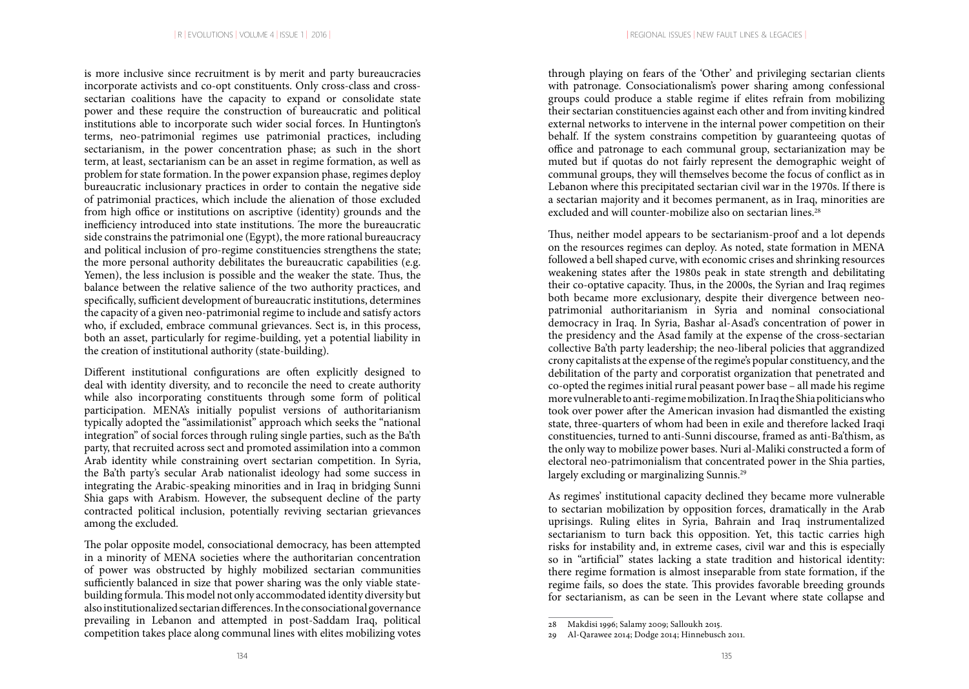is more inclusive since recruitment is by merit and party bureaucracies incorporate activists and co-opt constituents. Only cross-class and crosssectarian coalitions have the capacity to expand or consolidate state power and these require the construction of bureaucratic and political institutions able to incorporate such wider social forces. In Huntington's terms, neo-patrimonial regimes use patrimonial practices, including sectarianism, in the power concentration phase; as such in the short term, at least, sectarianism can be an asset in regime formation, as well as problem for state formation. In the power expansion phase, regimes deploy bureaucratic inclusionary practices in order to contain the negative side of patrimonial practices, which include the alienation of those excluded from high office or institutions on ascriptive (identity) grounds and the inefficiency introduced into state institutions. The more the bureaucratic side constrains the patrimonial one (Egypt), the more rational bureaucracy and political inclusion of pro-regime constituencies strengthens the state; the more personal authority debilitates the bureaucratic capabilities (e.g. Yemen), the less inclusion is possible and the weaker the state. Thus, the balance between the relative salience of the two authority practices, and specifically, sufficient development of bureaucratic institutions, determines the capacity of a given neo-patrimonial regime to include and satisfy actors who, if excluded, embrace communal grievances. Sect is, in this process, both an asset, particularly for regime-building, yet a potential liability in the creation of institutional authority (state-building).

Different institutional configurations are often explicitly designed to deal with identity diversity, and to reconcile the need to create authority while also incorporating constituents through some form of political participation. MENA's initially populist versions of authoritarianism typically adopted the "assimilationist" approach which seeks the "national integration" of social forces through ruling single parties, such as the Ba'th party, that recruited across sect and promoted assimilation into a common Arab identity while constraining overt sectarian competition. In Syria, the Ba'th party's secular Arab nationalist ideology had some success in integrating the Arabic-speaking minorities and in Iraq in bridging Sunni Shia gaps with Arabism. However, the subsequent decline of the party contracted political inclusion, potentially reviving sectarian grievances among the excluded.

The polar opposite model, consociational democracy, has been attempted in a minority of MENA societies where the authoritarian concentration of power was obstructed by highly mobilized sectarian communities sufficiently balanced in size that power sharing was the only viable statebuilding formula. This model not only accommodated identity diversity but also institutionalized sectarian differences. In the consociational governance prevailing in Lebanon and attempted in post-Saddam Iraq, political competition takes place along communal lines with elites mobilizing votes

through playing on fears of the 'Other' and privileging sectarian clients with patronage. Consociationalism's power sharing among confessional groups could produce a stable regime if elites refrain from mobilizing their sectarian constituencies against each other and from inviting kindred external networks to intervene in the internal power competition on their behalf. If the system constrains competition by guaranteeing quotas of office and patronage to each communal group, sectarianization may be muted but if quotas do not fairly represent the demographic weight of communal groups, they will themselves become the focus of conflict as in Lebanon where this precipitated sectarian civil war in the 1970s. If there is a sectarian majority and it becomes permanent, as in Iraq, minorities are excluded and will counter-mobilize also on sectarian lines.<sup>28</sup>

Thus, neither model appears to be sectarianism-proof and a lot depends on the resources regimes can deploy. As noted, state formation in MENA followed a bell shaped curve, with economic crises and shrinking resources weakening states after the 1980s peak in state strength and debilitating their co-optative capacity. Thus, in the 2000s, the Syrian and Iraq regimes both became more exclusionary, despite their divergence between neopatrimonial authoritarianism in Syria and nominal consociational democracy in Iraq. In Syria, Bashar al-Asad's concentration of power in the presidency and the Asad family at the expense of the cross-sectarian collective Ba'th party leadership; the neo-liberal policies that aggrandized crony capitalists at the expense of the regime's popular constituency, and the debilitation of the party and corporatist organization that penetrated and co-opted the regimes initial rural peasant power base – all made his regime more vulnerable to anti-regime mobilization. In Iraq the Shia politicians who took over power after the American invasion had dismantled the existing state, three-quarters of whom had been in exile and therefore lacked Iraqi constituencies, turned to anti-Sunni discourse, framed as anti-Ba'thism, as the only way to mobilize power bases. Nuri al-Maliki constructed a form of electoral neo-patrimonialism that concentrated power in the Shia parties, largely excluding or marginalizing Sunnis.<sup>29</sup>

As regimes' institutional capacity declined they became more vulnerable to sectarian mobilization by opposition forces, dramatically in the Arab uprisings. Ruling elites in Syria, Bahrain and Iraq instrumentalized sectarianism to turn back this opposition. Yet, this tactic carries high risks for instability and, in extreme cases, civil war and this is especially so in "artificial" states lacking a state tradition and historical identity: there regime formation is almost inseparable from state formation, if the regime fails, so does the state. This provides favorable breeding grounds for sectarianism, as can be seen in the Levant where state collapse and

<sup>28</sup> Makdisi 1996; Salamy 2009; Salloukh 2015.

<sup>29</sup> Al-Qarawee 2014; Dodge 2014; Hinnebusch 2011.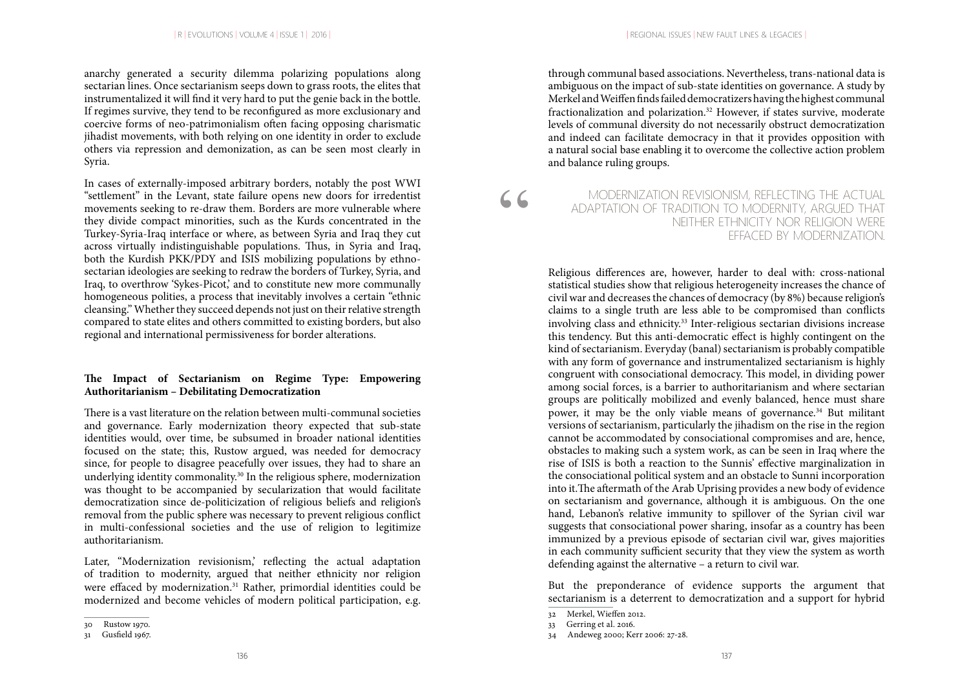anarchy generated a security dilemma polarizing populations along sectarian lines. Once sectarianism seeps down to grass roots, the elites that instrumentalized it will find it very hard to put the genie back in the bottle. If regimes survive, they tend to be reconfigured as more exclusionary and coercive forms of neo-patrimonialism often facing opposing charismatic jihadist movements, with both relying on one identity in order to exclude others via repression and demonization, as can be seen most clearly in Syria.

In cases of externally-imposed arbitrary borders, notably the post WWI "settlement" in the Levant, state failure opens new doors for irredentist movements seeking to re-draw them. Borders are more vulnerable where they divide compact minorities, such as the Kurds concentrated in the Turkey-Syria-Iraq interface or where, as between Syria and Iraq they cut across virtually indistinguishable populations. Thus, in Syria and Iraq, both the Kurdish PKK/PDY and ISIS mobilizing populations by ethnosectarian ideologies are seeking to redraw the borders of Turkey, Syria, and Iraq, to overthrow 'Sykes-Picot,' and to constitute new more communally homogeneous polities, a process that inevitably involves a certain "ethnic cleansing." Whether they succeed depends not just on their relative strength compared to state elites and others committed to existing borders, but also regional and international permissiveness for border alterations.

### **The Impact of Sectarianism on Regime Type: Empowering Authoritarianism – Debilitating Democratization**

There is a vast literature on the relation between multi-communal societies and governance. Early modernization theory expected that sub-state identities would, over time, be subsumed in broader national identities focused on the state; this, Rustow argued, was needed for democracy since, for people to disagree peacefully over issues, they had to share an underlying identity commonality.30 In the religious sphere, modernization was thought to be accompanied by secularization that would facilitate democratization since de-politicization of religious beliefs and religion's removal from the public sphere was necessary to prevent religious conflict in multi-confessional societies and the use of religion to legitimize authoritarianism.

Later, "Modernization revisionism,' reflecting the actual adaptation of tradition to modernity, argued that neither ethnicity nor religion were effaced by modernization.<sup>31</sup> Rather, primordial identities could be modernized and become vehicles of modern political participation, e.g.

through communal based associations. Nevertheless, trans-national data is ambiguous on the impact of sub-state identities on governance. A study by Merkel and Weiffen finds failed democratizers having the highest communal fractionalization and polarization.32 However, if states survive, moderate levels of communal diversity do not necessarily obstruct democratization and indeed can facilitate democracy in that it provides opposition with a natural social base enabling it to overcome the collective action problem and balance ruling groups.

MODERNIZATION REVISIONISM, REFLECTING THE ACTUAL ADAPTATION OF TRADITION TO MODERNITY, ARGUED THAT NEITHER ETHNICITY NOR RELIGION WERE EFFACED BY MODERNIZATION.

Religious differences are, however, harder to deal with: cross-national statistical studies show that religious heterogeneity increases the chance of civil war and decreases the chances of democracy (by 8%) because religion's claims to a single truth are less able to be compromised than conflicts involving class and ethnicity.<sup>33</sup> Inter-religious sectarian divisions increase this tendency. But this anti-democratic effect is highly contingent on the kind of sectarianism. Everyday (banal) sectarianism is probably compatible with any form of governance and instrumentalized sectarianism is highly congruent with consociational democracy. This model, in dividing power among social forces, is a barrier to authoritarianism and where sectarian groups are politically mobilized and evenly balanced, hence must share power, it may be the only viable means of governance.<sup>34</sup> But militant versions of sectarianism, particularly the jihadism on the rise in the region cannot be accommodated by consociational compromises and are, hence, obstacles to making such a system work, as can be seen in Iraq where the rise of ISIS is both a reaction to the Sunnis' effective marginalization in the consociational political system and an obstacle to Sunni incorporation into it.The aftermath of the Arab Uprising provides a new body of evidence on sectarianism and governance, although it is ambiguous. On the one hand, Lebanon's relative immunity to spillover of the Syrian civil war suggests that consociational power sharing, insofar as a country has been immunized by a previous episode of sectarian civil war, gives majorities in each community sufficient security that they view the system as worth defending against the alternative – a return to civil war.

But the preponderance of evidence supports the argument that sectarianism is a deterrent to democratization and a support for hybrid

"

<sup>30</sup> Rustow 1970.

<sup>31</sup> Gusfield 1967.

<sup>32</sup> Merkel, Wieffen 2012.

<sup>33</sup> Gerring et al. 2016.

<sup>34</sup> Andeweg 2000; Kerr 2006: 27-28.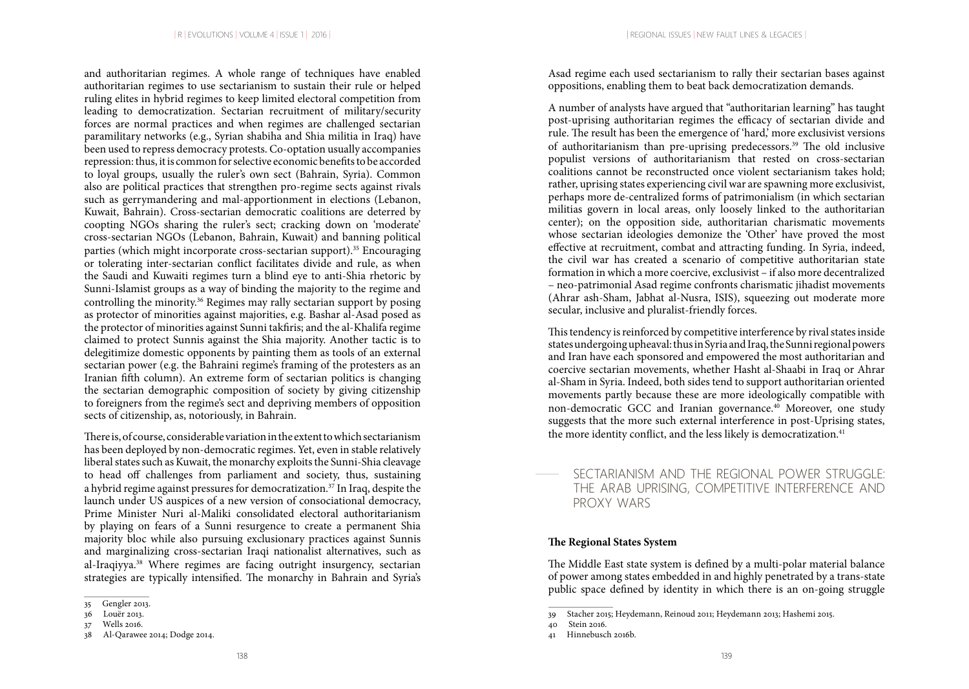and authoritarian regimes. A whole range of techniques have enabled authoritarian regimes to use sectarianism to sustain their rule or helped ruling elites in hybrid regimes to keep limited electoral competition from leading to democratization. Sectarian recruitment of military/security forces are normal practices and when regimes are challenged sectarian paramilitary networks (e.g., Syrian shabiha and Shia militia in Iraq) have been used to repress democracy protests. Co-optation usually accompanies repression: thus, it is common for selective economic benefits to be accorded to loyal groups, usually the ruler's own sect (Bahrain, Syria). Common also are political practices that strengthen pro-regime sects against rivals such as gerrymandering and mal-apportionment in elections (Lebanon, Kuwait, Bahrain). Cross-sectarian democratic coalitions are deterred by coopting NGOs sharing the ruler's sect; cracking down on 'moderate' cross-sectarian NGOs (Lebanon, Bahrain, Kuwait) and banning political parties (which might incorporate cross-sectarian support).<sup>35</sup> Encouraging or tolerating inter-sectarian conflict facilitates divide and rule, as when the Saudi and Kuwaiti regimes turn a blind eye to anti-Shia rhetoric by Sunni-Islamist groups as a way of binding the majority to the regime and controlling the minority.36 Regimes may rally sectarian support by posing as protector of minorities against majorities, e.g. Bashar al-Asad posed as the protector of minorities against Sunni takfiris; and the al-Khalifa regime claimed to protect Sunnis against the Shia majority. Another tactic is to delegitimize domestic opponents by painting them as tools of an external sectarian power (e.g. the Bahraini regime's framing of the protesters as an Iranian fifth column). An extreme form of sectarian politics is changing the sectarian demographic composition of society by giving citizenship to foreigners from the regime's sect and depriving members of opposition sects of citizenship, as, notoriously, in Bahrain.

There is, of course, considerable variation in the extent to which sectarianism has been deployed by non-democratic regimes. Yet, even in stable relatively liberal states such as Kuwait, the monarchy exploits the Sunni-Shia cleavage to head off challenges from parliament and society, thus, sustaining a hybrid regime against pressures for democratization.37 In Iraq, despite the launch under US auspices of a new version of consociational democracy, Prime Minister Nuri al-Maliki consolidated electoral authoritarianism by playing on fears of a Sunni resurgence to create a permanent Shia majority bloc while also pursuing exclusionary practices against Sunnis and marginalizing cross-sectarian Iraqi nationalist alternatives, such as al-Iraqiyya.38 Where regimes are facing outright insurgency, sectarian strategies are typically intensified. The monarchy in Bahrain and Syria's Asad regime each used sectarianism to rally their sectarian bases against oppositions, enabling them to beat back democratization demands.

A number of analysts have argued that "authoritarian learning" has taught post-uprising authoritarian regimes the efficacy of sectarian divide and rule. The result has been the emergence of 'hard,' more exclusivist versions of authoritarianism than pre-uprising predecessors.39 The old inclusive populist versions of authoritarianism that rested on cross-sectarian coalitions cannot be reconstructed once violent sectarianism takes hold; rather, uprising states experiencing civil war are spawning more exclusivist, perhaps more de-centralized forms of patrimonialism (in which sectarian militias govern in local areas, only loosely linked to the authoritarian center); on the opposition side, authoritarian charismatic movements whose sectarian ideologies demonize the 'Other' have proved the most effective at recruitment, combat and attracting funding. In Syria, indeed, the civil war has created a scenario of competitive authoritarian state formation in which a more coercive, exclusivist – if also more decentralized – neo-patrimonial Asad regime confronts charismatic jihadist movements (Ahrar ash-Sham, Jabhat al-Nusra, ISIS), squeezing out moderate more secular, inclusive and pluralist-friendly forces.

This tendency is reinforced by competitive interference by rival states inside states undergoing upheaval: thus in Syria and Iraq, the Sunni regional powers and Iran have each sponsored and empowered the most authoritarian and coercive sectarian movements, whether Hasht al-Shaabi in Iraq or Ahrar al-Sham in Syria. Indeed, both sides tend to support authoritarian oriented movements partly because these are more ideologically compatible with non-democratic GCC and Iranian governance.<sup>40</sup> Moreover, one study suggests that the more such external interference in post-Uprising states, the more identity conflict, and the less likely is democratization.<sup>41</sup>

## SECTARIANISM AND THE REGIONAL POWER STRUGGLE: THE ARAB UPRISING, COMPETITIVE INTERFERENCE AND PROXY WARS

## **The Regional States System**

The Middle East state system is defined by a multi-polar material balance of power among states embedded in and highly penetrated by a trans-state public space defined by identity in which there is an on-going struggle

<sup>35</sup> Gengler 2013.

<sup>36</sup> Louër 2013.

<sup>37</sup> Wells 2016.

<sup>38</sup> Al-Qarawee 2014; Dodge 2014.

<sup>39</sup> Stacher 2015; Heydemann, Reinoud 2011; Heydemann 2013; Hashemi 2015.

<sup>40</sup> Stein 2016.

<sup>41</sup> Hinnebusch 2016b.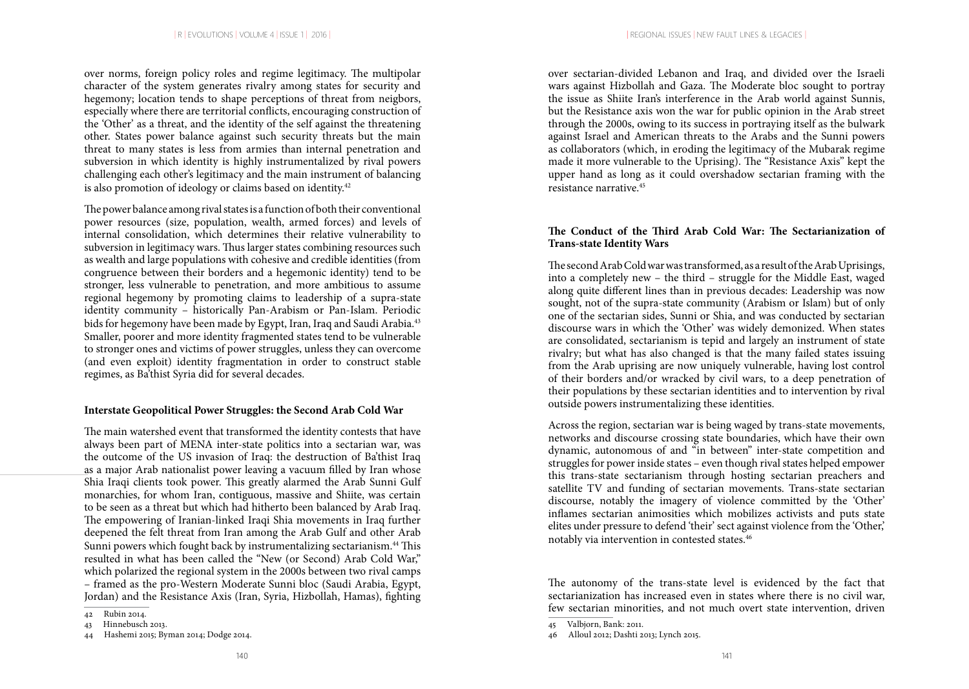over norms, foreign policy roles and regime legitimacy. The multipolar character of the system generates rivalry among states for security and hegemony; location tends to shape perceptions of threat from neigbors, especially where there are territorial conflicts, encouraging construction of the 'Other' as a threat, and the identity of the self against the threatening other. States power balance against such security threats but the main threat to many states is less from armies than internal penetration and subversion in which identity is highly instrumentalized by rival powers challenging each other's legitimacy and the main instrument of balancing is also promotion of ideology or claims based on identity.<sup>42</sup>

The power balance among rival states is a function of both their conventional power resources (size, population, wealth, armed forces) and levels of internal consolidation, which determines their relative vulnerability to subversion in legitimacy wars. Thus larger states combining resources such as wealth and large populations with cohesive and credible identities (from congruence between their borders and a hegemonic identity) tend to be stronger, less vulnerable to penetration, and more ambitious to assume regional hegemony by promoting claims to leadership of a supra-state identity community – historically Pan-Arabism or Pan-Islam. Periodic bids for hegemony have been made by Egypt, Iran, Iraq and Saudi Arabia.43 Smaller, poorer and more identity fragmented states tend to be vulnerable to stronger ones and victims of power struggles, unless they can overcome (and even exploit) identity fragmentation in order to construct stable regimes, as Ba'thist Syria did for several decades.

### **Interstate Geopolitical Power Struggles: the Second Arab Cold War**

The main watershed event that transformed the identity contests that have always been part of MENA inter-state politics into a sectarian war, was the outcome of the US invasion of Iraq: the destruction of Ba'thist Iraq as a major Arab nationalist power leaving a vacuum filled by Iran whose Shia Iraqi clients took power. This greatly alarmed the Arab Sunni Gulf monarchies, for whom Iran, contiguous, massive and Shiite, was certain to be seen as a threat but which had hitherto been balanced by Arab Iraq. The empowering of Iranian-linked Iraqi Shia movements in Iraq further deepened the felt threat from Iran among the Arab Gulf and other Arab Sunni powers which fought back by instrumentalizing sectarianism.<sup>44</sup> This resulted in what has been called the "New (or Second) Arab Cold War," which polarized the regional system in the 2000s between two rival camps – framed as the pro-Western Moderate Sunni bloc (Saudi Arabia, Egypt, Jordan) and the Resistance Axis (Iran, Syria, Hizbollah, Hamas), fighting

over sectarian-divided Lebanon and Iraq, and divided over the Israeli wars against Hizbollah and Gaza. The Moderate bloc sought to portray the issue as Shiite Iran's interference in the Arab world against Sunnis, but the Resistance axis won the war for public opinion in the Arab street through the 2000s, owing to its success in portraying itself as the bulwark against Israel and American threats to the Arabs and the Sunni powers as collaborators (which, in eroding the legitimacy of the Mubarak regime made it more vulnerable to the Uprising). The "Resistance Axis" kept the upper hand as long as it could overshadow sectarian framing with the resistance narrative.45

## **The Conduct of the Third Arab Cold War: The Sectarianization of Trans-state Identity Wars**

The second Arab Cold war was transformed, as a result of the Arab Uprisings, into a completely new – the third – struggle for the Middle East, waged along quite different lines than in previous decades: Leadership was now sought, not of the supra-state community (Arabism or Islam) but of only one of the sectarian sides, Sunni or Shia, and was conducted by sectarian discourse wars in which the 'Other' was widely demonized. When states are consolidated, sectarianism is tepid and largely an instrument of state rivalry; but what has also changed is that the many failed states issuing from the Arab uprising are now uniquely vulnerable, having lost control of their borders and/or wracked by civil wars, to a deep penetration of their populations by these sectarian identities and to intervention by rival outside powers instrumentalizing these identities.

Across the region, sectarian war is being waged by trans-state movements, networks and discourse crossing state boundaries, which have their own dynamic, autonomous of and "in between" inter-state competition and struggles for power inside states – even though rival states helped empower this trans-state sectarianism through hosting sectarian preachers and satellite TV and funding of sectarian movements. Trans-state sectarian discourse, notably the imagery of violence committed by the 'Other' inflames sectarian animosities which mobilizes activists and puts state elites under pressure to defend 'their' sect against violence from the 'Other,' notably via intervention in contested states.46

The autonomy of the trans-state level is evidenced by the fact that sectarianization has increased even in states where there is no civil war, few sectarian minorities, and not much overt state intervention, driven

<sup>42</sup> Rubin 2014.

<sup>43</sup> Hinnebusch 2013.

<sup>44</sup> Hashemi 2015; Byman 2014; Dodge 2014.

<sup>45</sup> Valbjorn, Bank: 2011.

<sup>46</sup> Alloul 2012; Dashti 2013; Lynch 2015.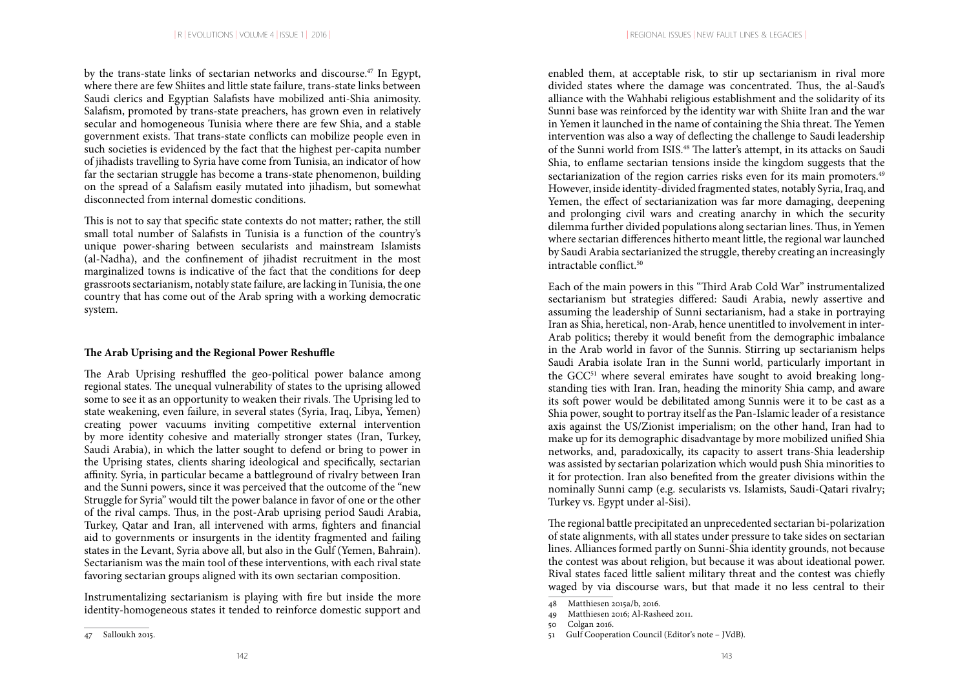by the trans-state links of sectarian networks and discourse.<sup>47</sup> In Egypt, where there are few Shiites and little state failure, trans-state links between Saudi clerics and Egyptian Salafists have mobilized anti-Shia animosity. Salafism, promoted by trans-state preachers, has grown even in relatively secular and homogeneous Tunisia where there are few Shia, and a stable government exists. That trans-state conflicts can mobilize people even in such societies is evidenced by the fact that the highest per-capita number of jihadists travelling to Syria have come from Tunisia, an indicator of how far the sectarian struggle has become a trans-state phenomenon, building on the spread of a Salafism easily mutated into jihadism, but somewhat disconnected from internal domestic conditions.

This is not to say that specific state contexts do not matter; rather, the still small total number of Salafists in Tunisia is a function of the country's unique power-sharing between secularists and mainstream Islamists (al-Nadha), and the confinement of jihadist recruitment in the most marginalized towns is indicative of the fact that the conditions for deep grassroots sectarianism, notably state failure, are lacking in Tunisia, the one country that has come out of the Arab spring with a working democratic system.

### **The Arab Uprising and the Regional Power Reshuffle**

The Arab Uprising reshuffled the geo-political power balance among regional states. The unequal vulnerability of states to the uprising allowed some to see it as an opportunity to weaken their rivals. The Uprising led to state weakening, even failure, in several states (Syria, Iraq, Libya, Yemen) creating power vacuums inviting competitive external intervention by more identity cohesive and materially stronger states (Iran, Turkey, Saudi Arabia), in which the latter sought to defend or bring to power in the Uprising states, clients sharing ideological and specifically, sectarian affinity. Syria, in particular became a battleground of rivalry between Iran and the Sunni powers, since it was perceived that the outcome of the "new Struggle for Syria" would tilt the power balance in favor of one or the other of the rival camps. Thus, in the post-Arab uprising period Saudi Arabia, Turkey, Qatar and Iran, all intervened with arms, fighters and financial aid to governments or insurgents in the identity fragmented and failing states in the Levant, Syria above all, but also in the Gulf (Yemen, Bahrain). Sectarianism was the main tool of these interventions, with each rival state favoring sectarian groups aligned with its own sectarian composition.

Instrumentalizing sectarianism is playing with fire but inside the more identity-homogeneous states it tended to reinforce domestic support and

enabled them, at acceptable risk, to stir up sectarianism in rival more divided states where the damage was concentrated. Thus, the al-Saud's alliance with the Wahhabi religious establishment and the solidarity of its Sunni base was reinforced by the identity war with Shiite Iran and the war in Yemen it launched in the name of containing the Shia threat. The Yemen intervention was also a way of deflecting the challenge to Saudi leadership of the Sunni world from ISIS.48 The latter's attempt, in its attacks on Saudi Shia, to enflame sectarian tensions inside the kingdom suggests that the sectarianization of the region carries risks even for its main promoters.<sup>49</sup> However, inside identity-divided fragmented states, notably Syria, Iraq, and Yemen, the effect of sectarianization was far more damaging, deepening and prolonging civil wars and creating anarchy in which the security dilemma further divided populations along sectarian lines. Thus, in Yemen where sectarian differences hitherto meant little, the regional war launched by Saudi Arabia sectarianized the struggle, thereby creating an increasingly intractable conflict.<sup>50</sup>

Each of the main powers in this "Third Arab Cold War" instrumentalized sectarianism but strategies differed: Saudi Arabia, newly assertive and assuming the leadership of Sunni sectarianism, had a stake in portraying Iran as Shia, heretical, non-Arab, hence unentitled to involvement in inter-Arab politics; thereby it would benefit from the demographic imbalance in the Arab world in favor of the Sunnis. Stirring up sectarianism helps Saudi Arabia isolate Iran in the Sunni world, particularly important in the GCC<sup>51</sup> where several emirates have sought to avoid breaking longstanding ties with Iran. Iran, heading the minority Shia camp, and aware its soft power would be debilitated among Sunnis were it to be cast as a Shia power, sought to portray itself as the Pan-Islamic leader of a resistance axis against the US/Zionist imperialism; on the other hand, Iran had to make up for its demographic disadvantage by more mobilized unified Shia networks, and, paradoxically, its capacity to assert trans-Shia leadership was assisted by sectarian polarization which would push Shia minorities to it for protection. Iran also benefited from the greater divisions within the nominally Sunni camp (e.g. secularists vs. Islamists, Saudi-Qatari rivalry; Turkey vs. Egypt under al-Sisi).

The regional battle precipitated an unprecedented sectarian bi-polarization of state alignments, with all states under pressure to take sides on sectarian lines. Alliances formed partly on Sunni-Shia identity grounds, not because the contest was about religion, but because it was about ideational power. Rival states faced little salient military threat and the contest was chiefly waged by via discourse wars, but that made it no less central to their

<sup>47</sup> Salloukh 2015.

<sup>48</sup> Matthiesen 2015a/b, 2016.

<sup>49</sup> Matthiesen 2016; Al-Rasheed 2011.

<sup>50</sup> Colgan 2016.

<sup>51</sup> Gulf Cooperation Council (Editor's note – JVdB).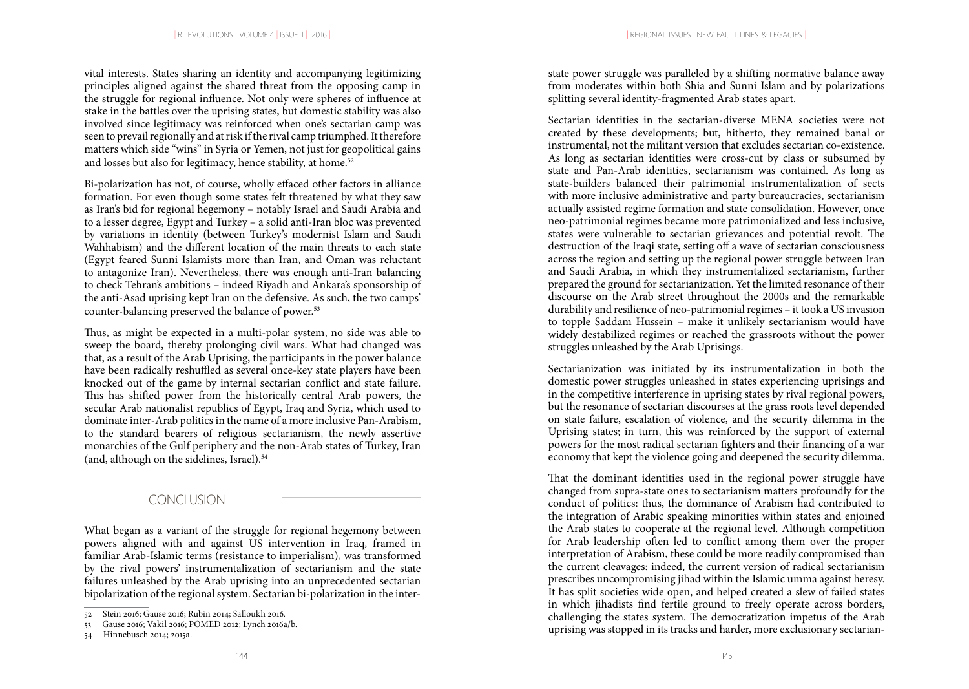vital interests. States sharing an identity and accompanying legitimizing principles aligned against the shared threat from the opposing camp in the struggle for regional influence. Not only were spheres of influence at stake in the battles over the uprising states, but domestic stability was also involved since legitimacy was reinforced when one's sectarian camp was seen to prevail regionally and at risk if the rival camp triumphed. It therefore matters which side "wins" in Syria or Yemen, not just for geopolitical gains and losses but also for legitimacy, hence stability, at home.<sup>52</sup>

Bi-polarization has not, of course, wholly effaced other factors in alliance formation. For even though some states felt threatened by what they saw as Iran's bid for regional hegemony – notably Israel and Saudi Arabia and to a lesser degree, Egypt and Turkey – a solid anti-Iran bloc was prevented by variations in identity (between Turkey's modernist Islam and Saudi Wahhabism) and the different location of the main threats to each state (Egypt feared Sunni Islamists more than Iran, and Oman was reluctant to antagonize Iran). Nevertheless, there was enough anti-Iran balancing to check Tehran's ambitions – indeed Riyadh and Ankara's sponsorship of the anti-Asad uprising kept Iran on the defensive. As such, the two camps' counter-balancing preserved the balance of power.<sup>53</sup>

Thus, as might be expected in a multi-polar system, no side was able to sweep the board, thereby prolonging civil wars. What had changed was that, as a result of the Arab Uprising, the participants in the power balance have been radically reshuffled as several once-key state players have been knocked out of the game by internal sectarian conflict and state failure. This has shifted power from the historically central Arab powers, the secular Arab nationalist republics of Egypt, Iraq and Syria, which used to dominate inter-Arab politics in the name of a more inclusive Pan-Arabism, to the standard bearers of religious sectarianism, the newly assertive monarchies of the Gulf periphery and the non-Arab states of Turkey, Iran (and, although on the sidelines, Israel).<sup>54</sup>

## CONCLUSION

What began as a variant of the struggle for regional hegemony between powers aligned with and against US intervention in Iraq, framed in familiar Arab-Islamic terms (resistance to imperialism), was transformed by the rival powers' instrumentalization of sectarianism and the state failures unleashed by the Arab uprising into an unprecedented sectarian bipolarization of the regional system. Sectarian bi-polarization in the interstate power struggle was paralleled by a shifting normative balance away from moderates within both Shia and Sunni Islam and by polarizations splitting several identity-fragmented Arab states apart.

Sectarian identities in the sectarian-diverse MENA societies were not created by these developments; but, hitherto, they remained banal or instrumental, not the militant version that excludes sectarian co-existence. As long as sectarian identities were cross-cut by class or subsumed by state and Pan-Arab identities, sectarianism was contained. As long as state-builders balanced their patrimonial instrumentalization of sects with more inclusive administrative and party bureaucracies, sectarianism actually assisted regime formation and state consolidation. However, once neo-patrimonial regimes became more patrimonialized and less inclusive, states were vulnerable to sectarian grievances and potential revolt. The destruction of the Iraqi state, setting off a wave of sectarian consciousness across the region and setting up the regional power struggle between Iran and Saudi Arabia, in which they instrumentalized sectarianism, further prepared the ground for sectarianization. Yet the limited resonance of their discourse on the Arab street throughout the 2000s and the remarkable durability and resilience of neo-patrimonial regimes – it took a US invasion to topple Saddam Hussein – make it unlikely sectarianism would have widely destabilized regimes or reached the grassroots without the power struggles unleashed by the Arab Uprisings.

Sectarianization was initiated by its instrumentalization in both the domestic power struggles unleashed in states experiencing uprisings and in the competitive interference in uprising states by rival regional powers, but the resonance of sectarian discourses at the grass roots level depended on state failure, escalation of violence, and the security dilemma in the Uprising states; in turn, this was reinforced by the support of external powers for the most radical sectarian fighters and their financing of a war economy that kept the violence going and deepened the security dilemma.

That the dominant identities used in the regional power struggle have changed from supra-state ones to sectarianism matters profoundly for the conduct of politics: thus, the dominance of Arabism had contributed to the integration of Arabic speaking minorities within states and enjoined the Arab states to cooperate at the regional level. Although competition for Arab leadership often led to conflict among them over the proper interpretation of Arabism, these could be more readily compromised than the current cleavages: indeed, the current version of radical sectarianism prescribes uncompromising jihad within the Islamic umma against heresy. It has split societies wide open, and helped created a slew of failed states in which jihadists find fertile ground to freely operate across borders, challenging the states system. The democratization impetus of the Arab uprising was stopped in its tracks and harder, more exclusionary sectarian-

<sup>52</sup> Stein 2016; Gause 2016; Rubin 2014; Salloukh 2016.

<sup>53</sup> Gause 2016; Vakil 2016; POMED 2012; Lynch 2016a/b.

<sup>54</sup> Hinnebusch 2014; 2015a.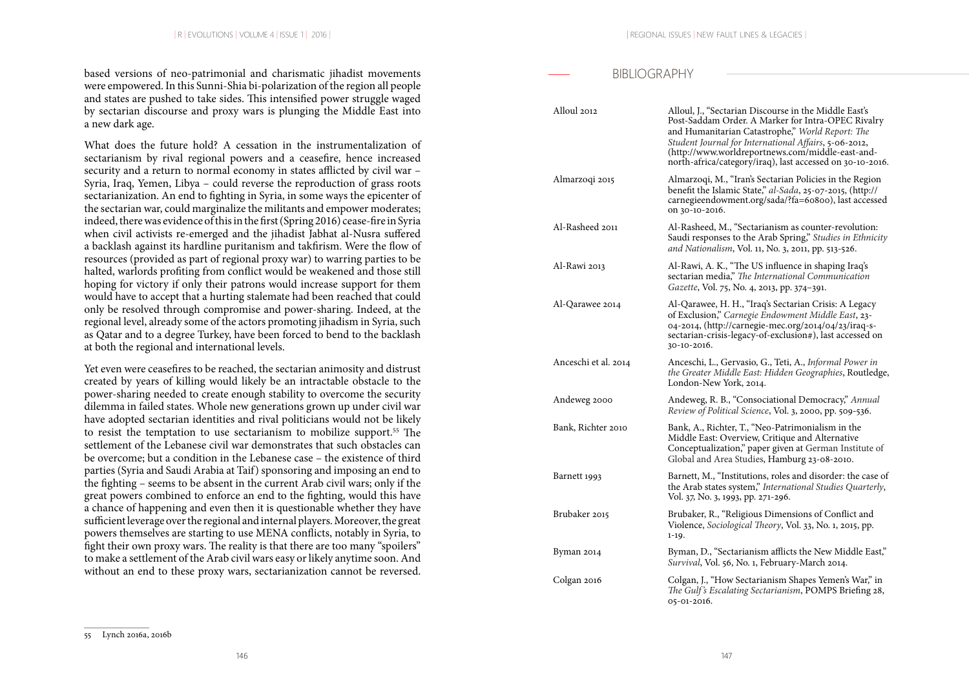based versions of neo-patrimonial and charismatic jihadist movements were empowered. In this Sunni-Shia bi-polarization of the region all people and states are pushed to take sides. This intensified power struggle waged by sectarian discourse and proxy wars is plunging the Middle East into a new dark age.

What does the future hold? A cessation in the instrumentalization of sectarianism by rival regional powers and a ceasefire, hence increased security and a return to normal economy in states afflicted by civil war – Syria, Iraq, Yemen, Libya – could reverse the reproduction of grass roots sectarianization. An end to fighting in Syria, in some ways the epicenter of the sectarian war, could marginalize the militants and empower moderates; indeed, there was evidence of this in the first (Spring 2016) cease-fire in Syria when civil activists re-emerged and the jihadist Jabhat al-Nusra suffered a backlash against its hardline puritanism and takfirism. Were the flow of resources (provided as part of regional proxy war) to warring parties to be halted, warlords profiting from conflict would be weakened and those still hoping for victory if only their patrons would increase support for them would have to accept that a hurting stalemate had been reached that could only be resolved through compromise and power-sharing. Indeed, at the regional level, already some of the actors promoting jihadism in Syria, such as Qatar and to a degree Turkey, have been forced to bend to the backlash at both the regional and international levels.

Yet even were ceasefires to be reached, the sectarian animosity and distrust created by years of killing would likely be an intractable obstacle to the power-sharing needed to create enough stability to overcome the security dilemma in failed states. Whole new generations grown up under civil war have adopted sectarian identities and rival politicians would not be likely to resist the temptation to use sectarianism to mobilize support.<sup>55</sup> The settlement of the Lebanese civil war demonstrates that such obstacles can be overcome; but a condition in the Lebanese case – the existence of third parties (Syria and Saudi Arabia at Taif) sponsoring and imposing an end to the fighting – seems to be absent in the current Arab civil wars; only if the great powers combined to enforce an end to the fighting, would this have a chance of happening and even then it is questionable whether they have sufficient leverage over the regional and internal players. Moreover, the great powers themselves are starting to use MENA conflicts, notably in Syria, to fight their own proxy wars. The reality is that there are too many "spoilers" to make a settlement of the Arab civil wars easy or likely anytime soon. And without an end to these proxy wars, sectarianization cannot be reversed.

## BIBLIOGRAPHY

| Alloul 2012          | Alloul, J., "Sectarian Discourse in the Middle East's<br>Post-Saddam Order. A Marker for Intra-OPEC Rivalry<br>and Humanitarian Catastrophe," World Report: The<br>Student Journal for International Affairs, 5-06-2012,<br>(http://www.worldreportnews.com/middle-east-and-<br>north-africa/category/iraq), last accessed on 30-10-2016. |
|----------------------|-------------------------------------------------------------------------------------------------------------------------------------------------------------------------------------------------------------------------------------------------------------------------------------------------------------------------------------------|
| Almarzoqi 2015       | Almarzoqi, M., "Iran's Sectarian Policies in the Region<br>benefit the Islamic State," al-Sada, 25-07-2015, (http://<br>carnegieendowment.org/sada/?fa=60800), last accessed<br>on 30-10-2016.                                                                                                                                            |
| Al-Rasheed 2011      | Al-Rasheed, M., "Sectarianism as counter-revolution:<br>Saudi responses to the Arab Spring," Studies in Ethnicity<br>and Nationalism, Vol. 11, No. 3, 2011, pp. 513-526.                                                                                                                                                                  |
| Al-Rawi 2013         | Al-Rawi, A. K., "The US influence in shaping Iraq's<br>sectarian media," The International Communication<br>Gazette, Vol. 75, No. 4, 2013, pp. 374-391.                                                                                                                                                                                   |
| Al-Qarawee 2014      | Al-Qarawee, H. H., "Iraq's Sectarian Crisis: A Legacy<br>of Exclusion," Carnegie Endowment Middle East, 23-<br>04-2014, (http://carnegie-mec.org/2014/04/23/iraq-s-<br>sectarian-crisis-legacy-of-exclusion#), last accessed on<br>30-10-2016.                                                                                            |
| Anceschi et al. 2014 | Anceschi, L., Gervasio, G., Teti, A., Informal Power in<br>the Greater Middle East: Hidden Geographies, Routledge,<br>London-New York, 2014.                                                                                                                                                                                              |
| Andeweg 2000         | Andeweg, R. B., "Consociational Democracy," Annual<br>Review of Political Science, Vol. 3, 2000, pp. 509-536.                                                                                                                                                                                                                             |
| Bank, Richter 2010   | Bank, A., Richter, T., "Neo-Patrimonialism in the<br>Middle East: Overview, Critique and Alternative<br>Conceptualization," paper given at German Institute of<br>Global and Area Studies, Hamburg 23-08-2010.                                                                                                                            |
| Barnett 1993         | Barnett, M., "Institutions, roles and disorder: the case of<br>the Arab states system," International Studies Quarterly,<br>Vol. 37, No. 3, 1993, pp. 271-296.                                                                                                                                                                            |
| Brubaker 2015        | Brubaker, R., "Religious Dimensions of Conflict and<br>Violence, Sociological Theory, Vol. 33, No. 1, 2015, pp.<br>1-19.                                                                                                                                                                                                                  |
| Byman 2014           | Byman, D., "Sectarianism afflicts the New Middle East,"<br>Survival, Vol. 56, No. 1, February-March 2014.                                                                                                                                                                                                                                 |
| Colgan 2016          | Colgan, J., "How Sectarianism Shapes Yemen's War," in<br>The Gulf's Escalating Sectarianism, POMPS Briefing 28,<br>05-01-2016.                                                                                                                                                                                                            |

<sup>55</sup> Lynch 2016a, 2016b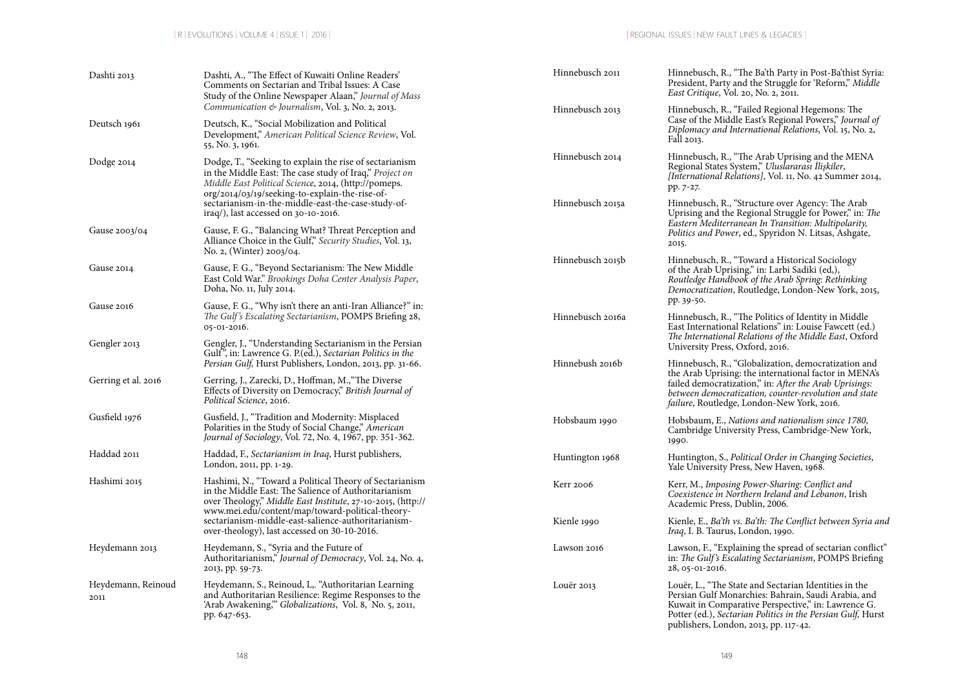| Dashti 2013                | Dashti, A., "The Effect of Kuwaiti Online Readers'<br>Comments on Sectarian and Tribal Issues: A Case<br>Study of the Online Newspaper Alaan," Journal of Mass                                                               | Hinnebusch 2011  | Hinnebusch, R., "The Ba'th Party in Post-Ba'thist Syria:<br>President, Party and the Struggle for 'Reform," Middle<br>East Critique, Vol. 20, No. 2, 2011.                                                                                                                            |  |
|----------------------------|------------------------------------------------------------------------------------------------------------------------------------------------------------------------------------------------------------------------------|------------------|---------------------------------------------------------------------------------------------------------------------------------------------------------------------------------------------------------------------------------------------------------------------------------------|--|
| Deutsch 1961               | Communication & Journalism, Vol. 3, No. 2, 2013.<br>Deutsch, K., "Social Mobilization and Political<br>Development," American Political Science Review, Vol.<br>55, No. 3, 1961.                                             | Hinnebusch 2013  | Hinnebusch, R., "Failed Regional Hegemons: The<br>Case of the Middle East's Regional Powers," Journal of<br>Diplomacy and International Relations, Vol. 15, No. 2,<br>Fall 2013.                                                                                                      |  |
| Dodge 2014                 | Dodge, T., "Seeking to explain the rise of sectarianism<br>in the Middle East: The case study of Iraq," Project on<br>Middle East Political Science, 2014, (http://pomeps.<br>org/2014/03/19/seeking-to-explain-the-rise-of- | Hinnebusch 2014  | Hinnebusch, R., "The Arab Uprising and the MENA<br>Regional States System," Uluslararası İlişkiler,<br>[International Relations], Vol. 11, No. 42 Summer 2014,<br>pp. 7-27.                                                                                                           |  |
|                            | sectarianism-in-the-middle-east-the-case-study-of-<br>$\text{iraq/}$ ), last accessed on 30-10-2016.                                                                                                                         | Hinnebusch 2015a | Hinnebusch, R., "Structure over Agency: The Arab<br>Uprising and the Regional Struggle for Power," in: The                                                                                                                                                                            |  |
| Gause 2003/04              | Gause, F. G., "Balancing What? Threat Perception and<br>Alliance Choice in the Gulf," Security Studies, Vol. 13,<br>No. 2, (Winter) 2003/04.                                                                                 |                  | Eastern Mediterranean In Transition: Multipolarity,<br>Politics and Power, ed., Spyridon N. Litsas, Ashgate,<br>2015.                                                                                                                                                                 |  |
| Gause 2014                 | Gause, F. G., "Beyond Sectarianism: The New Middle<br>East Cold War." Brookings Doha Center Analysis Paper,<br>Doha, No. 11, July 2014.                                                                                      | Hinnebusch 2015b | Hinnebusch, R., "Toward a Historical Sociology<br>of the Arab Uprising," in: Larbi Sadiki (ed,),<br>Routledge Handbook of the Arab Spring: Rethinking<br>Democratization, Routledge, London-New York, 2015,                                                                           |  |
| Gause 2016                 | Gause, F. G., "Why isn't there an anti-Iran Alliance?" in:<br>The Gulf's Escalating Sectarianism, POMPS Briefing 28,<br>05-01-2016.                                                                                          | Hinnebusch 2016a | pp. 39-50.<br>Hinnebusch, R., "The Politics of Identity in Middle<br>East International Relations" in: Louise Fawcett (ed.)                                                                                                                                                           |  |
| Gengler 2013               | Gengler, J., "Understanding Sectarianism in the Persian<br>Gulf", in: Lawrence G. P. (ed.), Sectarian Politics in the                                                                                                        |                  | The International Relations of the Middle East, Oxford<br>University Press, Oxford, 2016.                                                                                                                                                                                             |  |
| Gerring et al. 2016        | Persian Gulf, Hurst Publishers, London, 2013, pp. 31-66.<br>Gerring, J., Zarecki, D., Hoffman, M., "The Diverse<br>Effects of Diversity on Democracy," British Journal of<br>Political Science, 2016.                        | Hinnebush 2016b  | Hinnebusch, R., "Globalization, democratization and<br>the Arab Uprising: the international factor in MENA's<br>failed democratization," in: After the Arab Uprisings:<br>between democratization, counter-revolution and state<br><i>failure</i> , Routledge, London-New York, 2016. |  |
| Gusfield 1976              | Gusfield, J., "Tradition and Modernity: Misplaced<br>Polarities in the Study of Social Change," American<br>Journal of Sociology, Vol. 72, No. 4, 1967, pp. 351-362.                                                         | Hobsbaum 1990    | Hobsbaum, E., Nations and nationalism since 1780,<br>Cambridge University Press, Cambridge-New York,<br>1990.                                                                                                                                                                         |  |
| Haddad 2011                | Haddad, F., Sectarianism in Iraq, Hurst publishers,<br>London, 2011, pp. 1-29.                                                                                                                                               | Huntington 1968  | Huntington, S., Political Order in Changing Societies,<br>Yale University Press, New Haven, 1968.                                                                                                                                                                                     |  |
| Hashimi 2015               | Hashimi, N., "Toward a Political Theory of Sectarianism<br>in the Middle East: The Salience of Authoritarianism<br>over Theology," Middle East Institute, 27-10-2015, (http://                                               | Kerr 2006        | Kerr, M., Imposing Power-Sharing: Conflict and<br>Coexistence in Northern Ireland and Lebanon, Irish<br>Academic Press, Dublin, 2006.                                                                                                                                                 |  |
|                            | www.mei.edu/content/map/toward-political-theory-<br>sectarianism-middle-east-salience-authoritarianism-<br>over-theology), last accessed on 30-10-2016.                                                                      | Kienle 1990      | Kienle, E., Ba'th vs. Ba'th: The Conflict between Syria and<br><i>Iraq</i> , I. B. Taurus, London, 1990.                                                                                                                                                                              |  |
| Heydemann 2013             | Heydemann, S., "Syria and the Future of<br>Authoritarianism," Journal of Democracy, Vol. 24, No. 4,<br>2013, pp. 59-73.                                                                                                      | Lawson 2016      | Lawson, F., "Explaining the spread of sectarian conflict"<br>in: The Gulf's Escalating Sectarianism, POMPS Briefing<br>28, 05-01-2016.                                                                                                                                                |  |
| Heydemann, Reinoud<br>2011 | Heydemann, S., Reinoud, L., "Authoritarian Learning<br>and Authoritarian Resilience: Regime Responses to the<br>'Arab Awakening," Globalizations, Vol. 8, No. 5, 2011,<br>pp. 647-653.                                       | Louër 2013       | Louër, L., "The State and Sectarian Identities in the<br>Persian Gulf Monarchies: Bahrain, Saudi Arabia, and<br>Kuwait in Comparative Perspective," in: Lawrence G.<br>Potter (ed.), Sectarian Politics in the Persian Gulf, Hurst<br>publishers, London, 2013, pp. 117-42.           |  |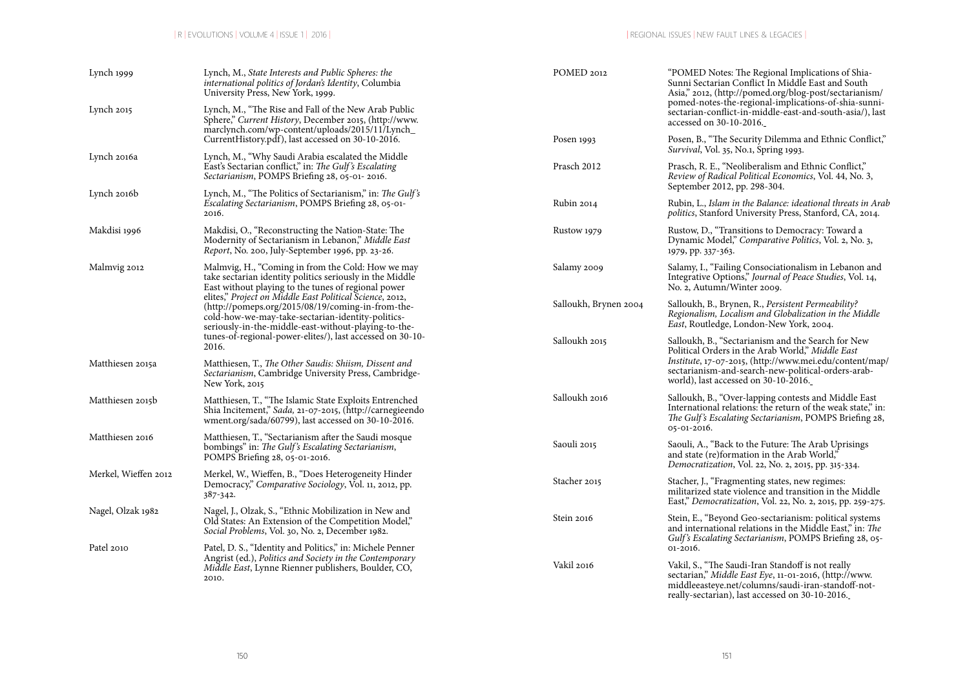| Lynch 1999           | Lynch, M., State Interests and Public Spheres: the<br>international politics of Jordan's Identity, Columbia<br>University Press, New York, 1999.                                                                                                                                                 | POMED 2012<br>"POMED Notes: The Regional Implications of Shia-<br>Sunni Sectarian Conflict In Middle East and South<br>Asia," 2012, (http://pomed.org/blog-post/sectarianism/ |                                                                                                                                                                                                                     |
|----------------------|--------------------------------------------------------------------------------------------------------------------------------------------------------------------------------------------------------------------------------------------------------------------------------------------------|-------------------------------------------------------------------------------------------------------------------------------------------------------------------------------|---------------------------------------------------------------------------------------------------------------------------------------------------------------------------------------------------------------------|
| Lynch 2015           | Lynch, M., "The Rise and Fall of the New Arab Public<br>Sphere," Current History, December 2015, (http://www.<br>marclynch.com/wp-content/uploads/2015/11/Lynch_                                                                                                                                 |                                                                                                                                                                               | pomed-notes-the-regional-implications-of-shia-sunni-<br>sectarian-conflict-in-middle-east-and-south-asia/), last<br>accessed on 30-10-2016.                                                                         |
|                      | CurrentHistory.pdf), last accessed on 30-10-2016.                                                                                                                                                                                                                                                | Posen 1993                                                                                                                                                                    | Posen, B., "The Security Dilemma and Ethnic Conflict,"<br><i>Survival</i> , <i>Vol.</i> 35, <i>No.1</i> , <i>Spring 1993</i> .                                                                                      |
| Lynch 2016a          | Lynch, M., "Why Saudi Arabia escalated the Middle<br>East's Sectarian conflict," in: The Gulf's Escalating<br>Sectarianism, POMPS Briefing 28, 05-01-2016.                                                                                                                                       | Prasch 2012                                                                                                                                                                   | Prasch, R. E., "Neoliberalism and Ethnic Conflict,"<br>Review of Radical Political Economics, Vol. 44, No. 3,<br>September 2012, pp. 298-304.                                                                       |
| Lynch 2016b          | Lynch, M., "The Politics of Sectarianism," in: The Gulf's<br>Escalating Sectarianism, POMPS Briefing 28, 05-01-<br>2016.                                                                                                                                                                         | Rubin 2014                                                                                                                                                                    | Rubin, L., Islam in the Balance: ideational threats in Arab<br>politics, Stanford University Press, Stanford, CA, 2014.                                                                                             |
| Makdisi 1996         | Makdisi, O., "Reconstructing the Nation-State: The<br>Modernity of Sectarianism in Lebanon," Middle East<br>Report, No. 200, July-September 1996, pp. 23-26.                                                                                                                                     | Rustow 1979                                                                                                                                                                   | Rustow, D., "Transitions to Democracy: Toward a<br>Dynamic Model," Comparative Politics, Vol. 2, No. 3,<br>1979, pp. 337-363.                                                                                       |
| Malmvig 2012         | Malmvig, H., "Coming in from the Cold: How we may<br>take sectarian identity politics seriously in the Middle<br>East without playing to the tunes of regional power                                                                                                                             | Salamy 2009                                                                                                                                                                   | Salamy, I., "Failing Consociationalism in Lebanon and<br>Integrative Options," Journal of Peace Studies, Vol. 14,<br>No. 2, Autumn/Winter 2009.                                                                     |
|                      | elites," Project on Middle East Political Science, 2012,<br>(http://pomeps.org/2015/08/19/coming-in-from-the-<br>cold-how-we-may-take-sectarian-identity-politics-<br>seriously-in-the-middle-east-without-playing-to-the-<br>tunes-of-regional-power-elites/), last accessed on 30-10-<br>2016. | Salloukh, Brynen 2004                                                                                                                                                         | Salloukh, B., Brynen, R., Persistent Permeability?<br>Regionalism, Localism and Globalization in the Middle<br>East, Routledge, London-New York, 2004.                                                              |
|                      |                                                                                                                                                                                                                                                                                                  | Salloukh 2015                                                                                                                                                                 | Salloukh, B., "Sectarianism and the Search for New<br>Political Orders in the Arab World," Middle East                                                                                                              |
| Matthiesen 2015a     | Matthiesen, T., The Other Saudis: Shiism, Dissent and<br>Sectarianism, Cambridge University Press, Cambridge-<br>New York, 2015                                                                                                                                                                  |                                                                                                                                                                               | Institute, 17-07-2015, (http://www.mei.edu/content/map/<br>sectarianism-and-search-new-political-orders-arab-<br>world), last accessed on 30-10-2016.                                                               |
| Matthiesen 2015b     | Matthiesen, T., "The Islamic State Exploits Entrenched<br>Shia Incitement," Sada, 21-07-2015, (http://carnegieendo<br>wment.org/sada/60799), last accessed on 30-10-2016.                                                                                                                        | Salloukh 2016                                                                                                                                                                 | Salloukh, B., "Over-lapping contests and Middle East<br>International relations: the return of the weak state," in:<br>The Gulf's Escalating Sectarianism, POMPS Briefing 28,<br>05-01-2016.                        |
| Matthiesen 2016      | Matthiesen, T., "Sectarianism after the Saudi mosque<br>bombings" in: The Gulf's Escalating Sectarianism,<br>POMPS Briefing 28, 05-01-2016.                                                                                                                                                      | Saouli 2015                                                                                                                                                                   | Saouli, A., "Back to the Future: The Arab Uprisings<br>and state (re)formation in the Arab World,"<br>Democratization, Vol. 22, No. 2, 2015, pp. 315-334.                                                           |
| Merkel, Wieffen 2012 | Merkel, W., Wieffen, B., "Does Heterogeneity Hinder<br>Democracy," Comparative Sociology, Vol. 11, 2012, pp.<br>387-342.                                                                                                                                                                         | Stacher 2015                                                                                                                                                                  | Stacher, J., "Fragmenting states, new regimes:<br>militarized state violence and transition in the Middle<br>East," Democratization, Vol. 22, No. 2, 2015, pp. 259-275.                                             |
| Nagel, Olzak 1982    | Nagel, J., Olzak, S., "Ethnic Mobilization in New and<br>Old States: An Extension of the Competition Model,"<br>Social Problems, Vol. 30, No. 2, December 1982.                                                                                                                                  | Stein 2016                                                                                                                                                                    | Stein, E., "Beyond Geo-sectarianism: political systems<br>and international relations in the Middle East," in: The<br>Gulf's Escalating Sectarianism, POMPS Briefing 28, 05-                                        |
| Patel 2010           | Patel, D. S., "Identity and Politics," in: Michele Penner<br>Angrist (ed.), Politics and Society in the Contemporary                                                                                                                                                                             |                                                                                                                                                                               | $01-2016.$                                                                                                                                                                                                          |
|                      | Middle East, Lynne Rienner publishers, Boulder, CO,<br>2010.                                                                                                                                                                                                                                     | Vakil 2016                                                                                                                                                                    | Vakil, S., "The Saudi-Iran Standoff is not really<br>sectarian," Middle East Eye, 11-01-2016, (http://www.<br>middleeasteye.net/columns/saudi-iran-standoff-not-<br>really-sectarian), last accessed on 30-10-2016. |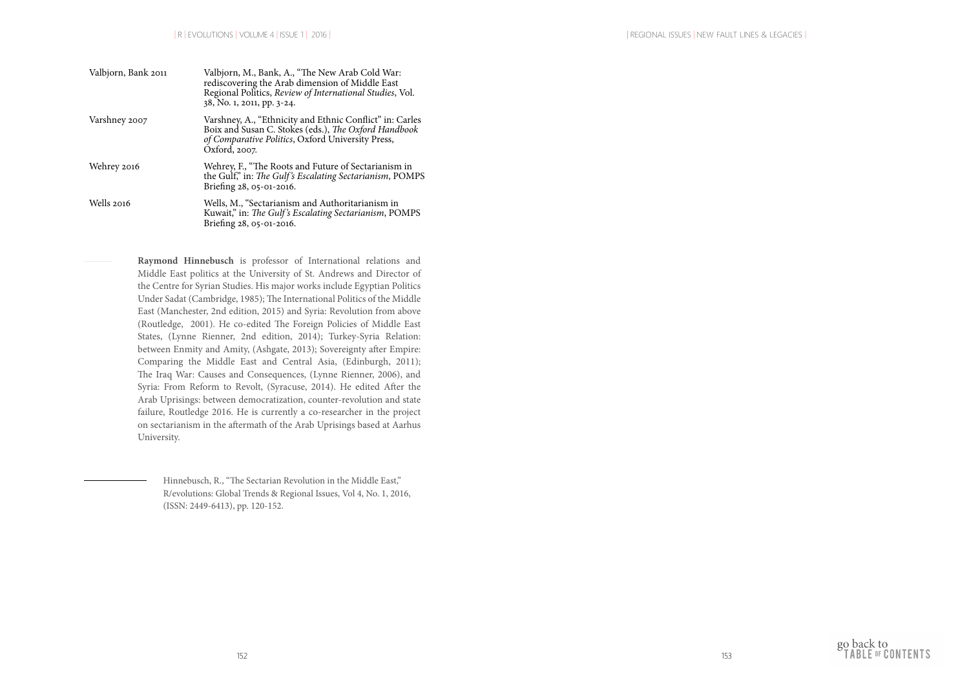| Valbjorn, Bank 2011 | Valbjorn, M., Bank, A., "The New Arab Cold War:<br>rediscovering the Arab dimension of Middle East<br>Regional Politics, Review of International Studies, Vol.<br>38, No. 1, 2011, pp. 3-24. |
|---------------------|----------------------------------------------------------------------------------------------------------------------------------------------------------------------------------------------|
| Varshney 2007       | Varshney, A., "Ethnicity and Ethnic Conflict" in: Carles<br>Boix and Susan C. Stokes (eds.), The Oxford Handbook<br>of Comparative Politics, Oxford University Press,<br>Oxford, 2007.       |
| Wehrey 2016         | Wehrey, F., "The Roots and Future of Sectarianism in<br>the Gulf," in: The Gulf's Escalating Sectarianism, POMPS<br>Briefing 28, 05-01-2016.                                                 |
| Wells 2016          | Wells, M., "Sectarianism and Authoritarianism in<br>Kuwait," in: The Gulf's Escalating Sectarianism, POMPS<br>Briefing 28, 05-01-2016.                                                       |

**Raymond Hinnebusch** is professor of International relations and Middle East politics at the University of St. Andrews and Director of the Centre for Syrian Studies. His major works include Egyptian Politics Under Sadat (Cambridge, 1985); The International Politics of the Middle East (Manchester, 2nd edition, 2015) and Syria: Revolution from above (Routledge, 2001). He co-edited The Foreign Policies of Middle East States, (Lynne Rienner, 2nd edition, 2014); Turkey-Syria Relation: between Enmity and Amity, (Ashgate, 2013); Sovereignty after Empire: Comparing the Middle East and Central Asia, (Edinburgh, 2011); The Iraq War: Causes and Consequences, (Lynne Rienner, 2006), and Syria: From Reform to Revolt, (Syracuse, 2014). He edited After the Arab Uprisings: between democratization, counter-revolution and state failure, Routledge 2016. He is currently a co-researcher in the project on sectarianism in the aftermath of the Arab Uprisings based at Aarhus University.

> Hinnebusch, R., "The Sectarian Revolution in the Middle East," R/evolutions: Global Trends & Regional Issues, Vol 4, No. 1, 2016, (ISSN: 2449-6413), pp. 120-152.